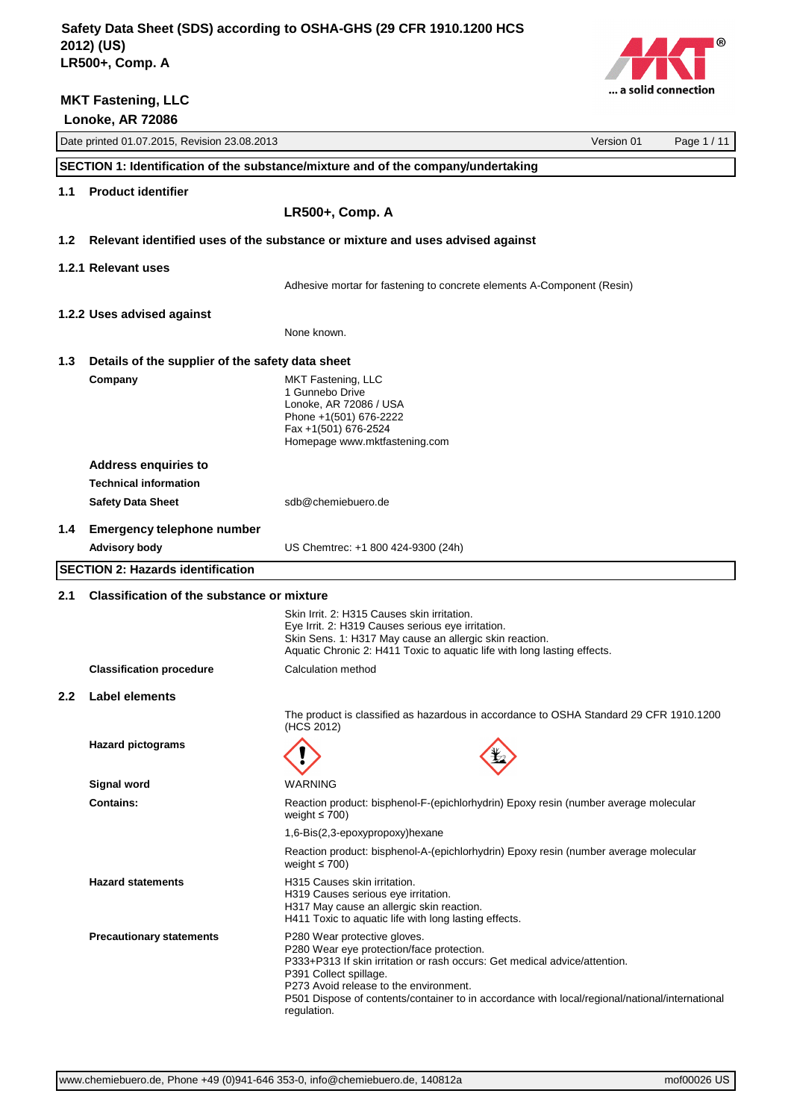

|               | Date printed 01.07.2015, Revision 23.08.2013                                      |                                                                                                              | Version 01 | Page 1 / 11 |
|---------------|-----------------------------------------------------------------------------------|--------------------------------------------------------------------------------------------------------------|------------|-------------|
|               | SECTION 1: Identification of the substance/mixture and of the company/undertaking |                                                                                                              |            |             |
| 1.1           | <b>Product identifier</b>                                                         |                                                                                                              |            |             |
|               |                                                                                   | LR500+, Comp. A                                                                                              |            |             |
|               |                                                                                   |                                                                                                              |            |             |
| 1.2           | Relevant identified uses of the substance or mixture and uses advised against     |                                                                                                              |            |             |
|               | 1.2.1 Relevant uses                                                               |                                                                                                              |            |             |
|               |                                                                                   | Adhesive mortar for fastening to concrete elements A-Component (Resin)                                       |            |             |
|               | 1.2.2 Uses advised against                                                        |                                                                                                              |            |             |
|               |                                                                                   | None known.                                                                                                  |            |             |
| 1.3           | Details of the supplier of the safety data sheet                                  |                                                                                                              |            |             |
|               | Company                                                                           | MKT Fastening, LLC                                                                                           |            |             |
|               |                                                                                   | 1 Gunnebo Drive                                                                                              |            |             |
|               |                                                                                   | Lonoke, AR 72086 / USA                                                                                       |            |             |
|               |                                                                                   | Phone +1(501) 676-2222<br>Fax +1(501) 676-2524                                                               |            |             |
|               |                                                                                   | Homepage www.mktfastening.com                                                                                |            |             |
|               | <b>Address enquiries to</b>                                                       |                                                                                                              |            |             |
|               | <b>Technical information</b>                                                      |                                                                                                              |            |             |
|               | <b>Safety Data Sheet</b>                                                          | sdb@chemiebuero.de                                                                                           |            |             |
| 1.4           | <b>Emergency telephone number</b>                                                 |                                                                                                              |            |             |
|               | <b>Advisory body</b>                                                              | US Chemtrec: +1 800 424-9300 (24h)                                                                           |            |             |
|               | <b>SECTION 2: Hazards identification</b>                                          |                                                                                                              |            |             |
|               |                                                                                   |                                                                                                              |            |             |
| 2.1           | <b>Classification of the substance or mixture</b>                                 |                                                                                                              |            |             |
|               |                                                                                   | Skin Irrit. 2: H315 Causes skin irritation.                                                                  |            |             |
|               |                                                                                   | Eye Irrit. 2: H319 Causes serious eye irritation.<br>Skin Sens. 1: H317 May cause an allergic skin reaction. |            |             |
|               |                                                                                   | Aquatic Chronic 2: H411 Toxic to aquatic life with long lasting effects.                                     |            |             |
|               | <b>Classification procedure</b>                                                   | Calculation method                                                                                           |            |             |
| $2.2^{\circ}$ | Label elements                                                                    |                                                                                                              |            |             |
|               |                                                                                   | The product is classified as hazardous in accordance to OSHA Standard 29 CFR 1910.1200                       |            |             |
|               |                                                                                   | (HCS 2012)                                                                                                   |            |             |
|               | <b>Hazard pictograms</b>                                                          |                                                                                                              |            |             |
|               |                                                                                   |                                                                                                              |            |             |
|               | Signal word                                                                       | <b>WARNING</b>                                                                                               |            |             |
|               | <b>Contains:</b>                                                                  | Reaction product: bisphenol-F-(epichlorhydrin) Epoxy resin (number average molecular<br>weight $\leq 700$ )  |            |             |
|               |                                                                                   | 1,6-Bis(2,3-epoxypropoxy)hexane                                                                              |            |             |
|               |                                                                                   | Reaction product: bisphenol-A-(epichlorhydrin) Epoxy resin (number average molecular<br>weight $\leq 700$ )  |            |             |
|               | <b>Hazard statements</b>                                                          | H315 Causes skin irritation.                                                                                 |            |             |
|               |                                                                                   | H319 Causes serious eye irritation.<br>H317 May cause an allergic skin reaction.                             |            |             |
|               |                                                                                   | H411 Toxic to aquatic life with long lasting effects.                                                        |            |             |
|               | <b>Precautionary statements</b>                                                   | P280 Wear protective gloves.                                                                                 |            |             |
|               |                                                                                   | P280 Wear eye protection/face protection.                                                                    |            |             |
|               |                                                                                   | P333+P313 If skin irritation or rash occurs: Get medical advice/attention.<br>P391 Collect spillage.         |            |             |
|               |                                                                                   | P273 Avoid release to the environment.                                                                       |            |             |
|               |                                                                                   | P501 Dispose of contents/container to in accordance with local/regional/national/international               |            |             |
|               |                                                                                   | regulation.                                                                                                  |            |             |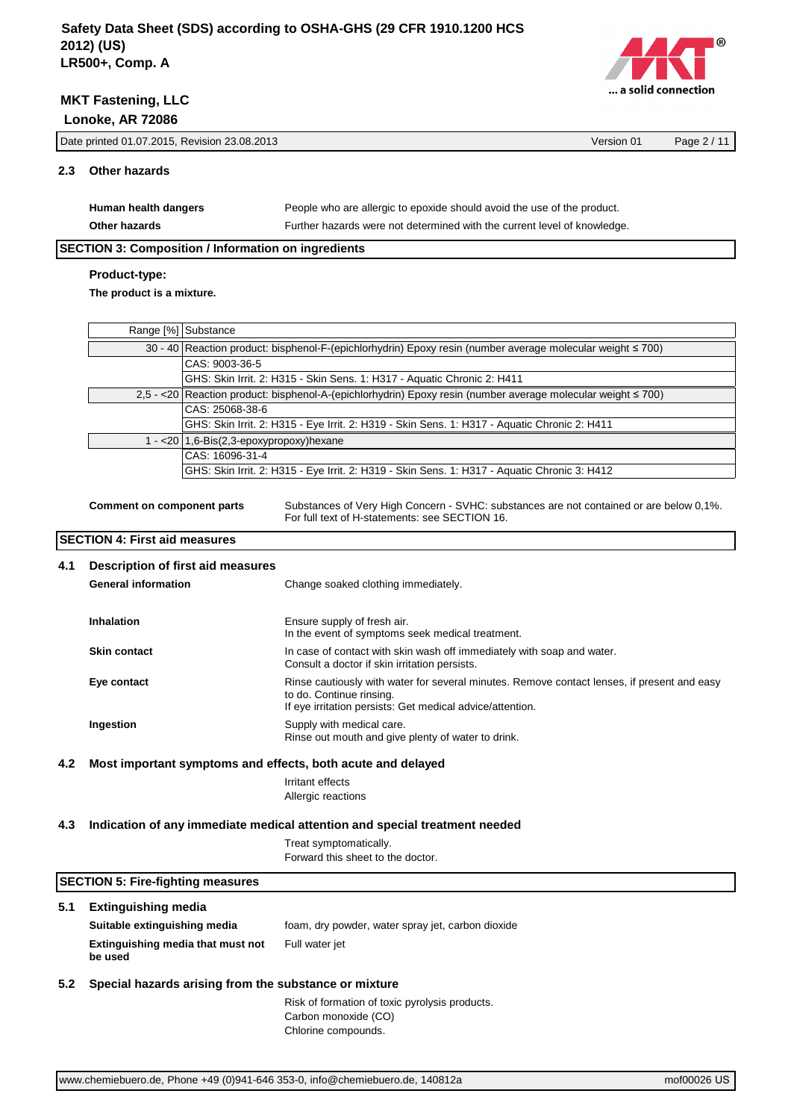

|     | Date printed 01.07.2015, Revision 23.08.2013 |                                                                         | Page 2/11 |  |  |
|-----|----------------------------------------------|-------------------------------------------------------------------------|-----------|--|--|
| 2.3 | <b>Other hazards</b>                         |                                                                         |           |  |  |
|     | Human health dangers                         | People who are allergic to epoxide should avoid the use of the product. |           |  |  |

Other hazards **Other hazards** Further hazards were not determined with the current level of knowledge.

# **SECTION 3: Composition / Information on ingredients**

# **Product-type:**

**The product is a mixture.**

| Range [%] Substance                                                                                             |
|-----------------------------------------------------------------------------------------------------------------|
| 30 - 40 Reaction product: bisphenol-F-(epichlorhydrin) Epoxy resin (number average molecular weight $\leq$ 700) |
| CAS: 9003-36-5                                                                                                  |
| GHS: Skin Irrit. 2: H315 - Skin Sens. 1: H317 - Aquatic Chronic 2: H411                                         |
| 2,5 - <20 Reaction product: bisphenol-A-(epichlorhydrin) Epoxy resin (number average molecular weight ≤ 700)    |
| CAS: 25068-38-6                                                                                                 |
| GHS: Skin Irrit. 2: H315 - Eye Irrit. 2: H319 - Skin Sens. 1: H317 - Aquatic Chronic 2: H411                    |
| 1 - < 20   1,6-Bis(2,3-epoxypropoxy) hexane                                                                     |
| CAS: 16096-31-4                                                                                                 |
| GHS: Skin Irrit. 2: H315 - Eye Irrit. 2: H319 - Skin Sens. 1: H317 - Aquatic Chronic 3: H412                    |
|                                                                                                                 |

**Comment on component parts** Substances of Very High Concern - SVHC: substances are not contained or are below 0,1%. For full text of H-statements: see SECTION 16.

## **SECTION 4: First aid measures**

| 4.1 | Description of first aid measures                           |                                                                                                                                                                                      |
|-----|-------------------------------------------------------------|--------------------------------------------------------------------------------------------------------------------------------------------------------------------------------------|
|     | <b>General information</b>                                  | Change soaked clothing immediately.                                                                                                                                                  |
|     | <b>Inhalation</b>                                           | Ensure supply of fresh air.<br>In the event of symptoms seek medical treatment.                                                                                                      |
|     | <b>Skin contact</b>                                         | In case of contact with skin wash off immediately with soap and water.<br>Consult a doctor if skin irritation persists.                                                              |
|     | Eye contact                                                 | Rinse cautiously with water for several minutes. Remove contact lenses, if present and easy<br>to do. Continue rinsing.<br>If eye irritation persists: Get medical advice/attention. |
|     | Ingestion                                                   | Supply with medical care.<br>Rinse out mouth and give plenty of water to drink.                                                                                                      |
| 4.2 | Most important symptoms and effects, both acute and delayed |                                                                                                                                                                                      |
|     |                                                             | Irritant effects                                                                                                                                                                     |
|     |                                                             | Allergic reactions                                                                                                                                                                   |
| 4.3 |                                                             | Indication of any immediate medical attention and special treatment needed                                                                                                           |

Treat symptomatically. Forward this sheet to the doctor.

## **SECTION 5: Fire-fighting measures**

# **5.1 Extinguishing media**

**Suitable extinguishing media** foam, dry powder, water spray jet, carbon dioxide **Extinguishing media that must not be used** Full water jet

## **5.2 Special hazards arising from the substance or mixture**

Risk of formation of toxic pyrolysis products. Carbon monoxide (CO) Chlorine compounds.

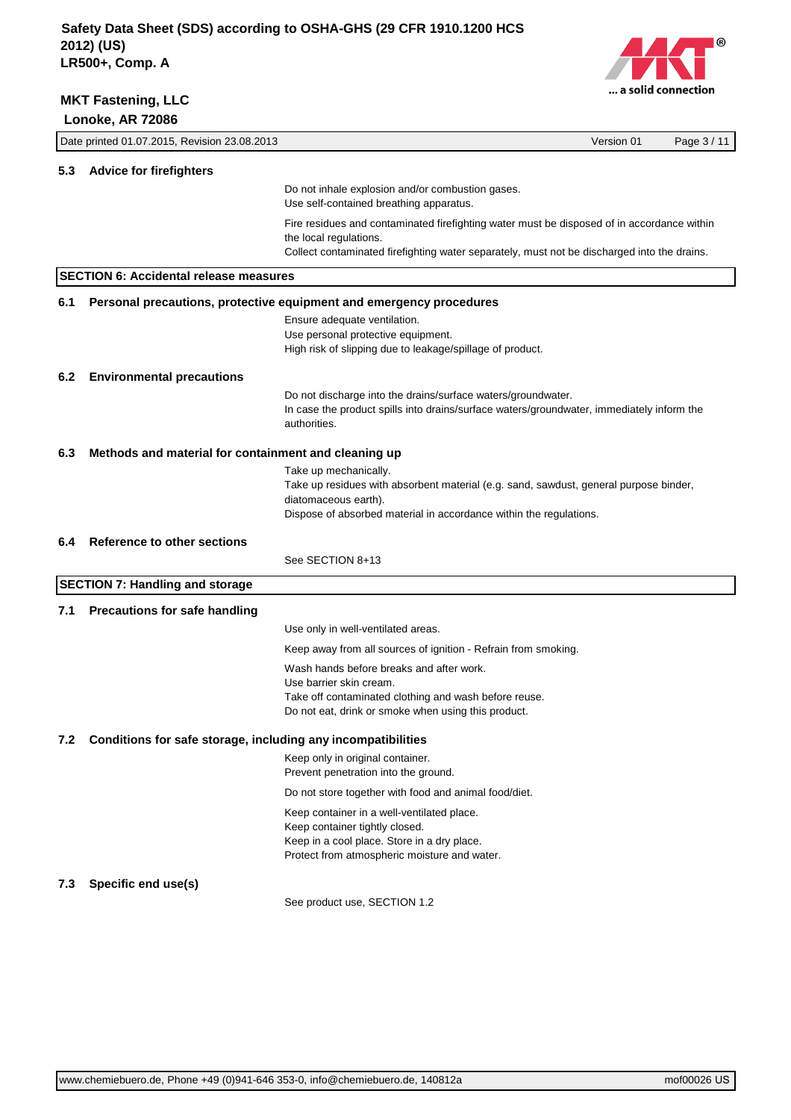

|                                         | Date printed 01.07.2015, Revision 23.08.2013                 |                                                                                                                                                                                                                     | Version 01 | Page 3 / 11 |
|-----------------------------------------|--------------------------------------------------------------|---------------------------------------------------------------------------------------------------------------------------------------------------------------------------------------------------------------------|------------|-------------|
| 5.3                                     | <b>Advice for firefighters</b>                               |                                                                                                                                                                                                                     |            |             |
|                                         |                                                              | Do not inhale explosion and/or combustion gases.<br>Use self-contained breathing apparatus.                                                                                                                         |            |             |
|                                         |                                                              | Fire residues and contaminated firefighting water must be disposed of in accordance within<br>the local regulations.<br>Collect contaminated firefighting water separately, must not be discharged into the drains. |            |             |
|                                         | <b>SECTION 6: Accidental release measures</b>                |                                                                                                                                                                                                                     |            |             |
| 6.1                                     |                                                              | Personal precautions, protective equipment and emergency procedures                                                                                                                                                 |            |             |
|                                         |                                                              | Ensure adequate ventilation.<br>Use personal protective equipment.<br>High risk of slipping due to leakage/spillage of product.                                                                                     |            |             |
| 6.2<br><b>Environmental precautions</b> |                                                              |                                                                                                                                                                                                                     |            |             |
|                                         |                                                              | Do not discharge into the drains/surface waters/groundwater.<br>In case the product spills into drains/surface waters/groundwater, immediately inform the<br>authorities.                                           |            |             |
| 6.3                                     | Methods and material for containment and cleaning up         |                                                                                                                                                                                                                     |            |             |
|                                         |                                                              | Take up mechanically.<br>Take up residues with absorbent material (e.g. sand, sawdust, general purpose binder,<br>diatomaceous earth).<br>Dispose of absorbed material in accordance within the regulations.        |            |             |
| 6.4                                     | Reference to other sections                                  |                                                                                                                                                                                                                     |            |             |
|                                         |                                                              | See SECTION 8+13                                                                                                                                                                                                    |            |             |
|                                         | <b>SECTION 7: Handling and storage</b>                       |                                                                                                                                                                                                                     |            |             |
| 7.1                                     | <b>Precautions for safe handling</b>                         |                                                                                                                                                                                                                     |            |             |
|                                         |                                                              | Use only in well-ventilated areas.                                                                                                                                                                                  |            |             |
|                                         |                                                              | Keep away from all sources of ignition - Refrain from smoking.                                                                                                                                                      |            |             |
|                                         |                                                              | Wash hands before breaks and after work.<br>Use barrier skin cream.<br>Take off contaminated clothing and wash before reuse.<br>Do not eat, drink or smoke when using this product.                                 |            |             |
| 7.2                                     | Conditions for safe storage, including any incompatibilities |                                                                                                                                                                                                                     |            |             |
|                                         |                                                              | Keep only in original container.<br>Prevent penetration into the ground.                                                                                                                                            |            |             |
|                                         |                                                              | Do not store together with food and animal food/diet.                                                                                                                                                               |            |             |
|                                         |                                                              | Keep container in a well-ventilated place.<br>Keep container tightly closed.<br>Keep in a cool place. Store in a dry place.<br>Protect from atmospheric moisture and water.                                         |            |             |
| 7.3                                     | Specific end use(s)                                          |                                                                                                                                                                                                                     |            |             |
|                                         |                                                              | See product use, SECTION 1.2                                                                                                                                                                                        |            |             |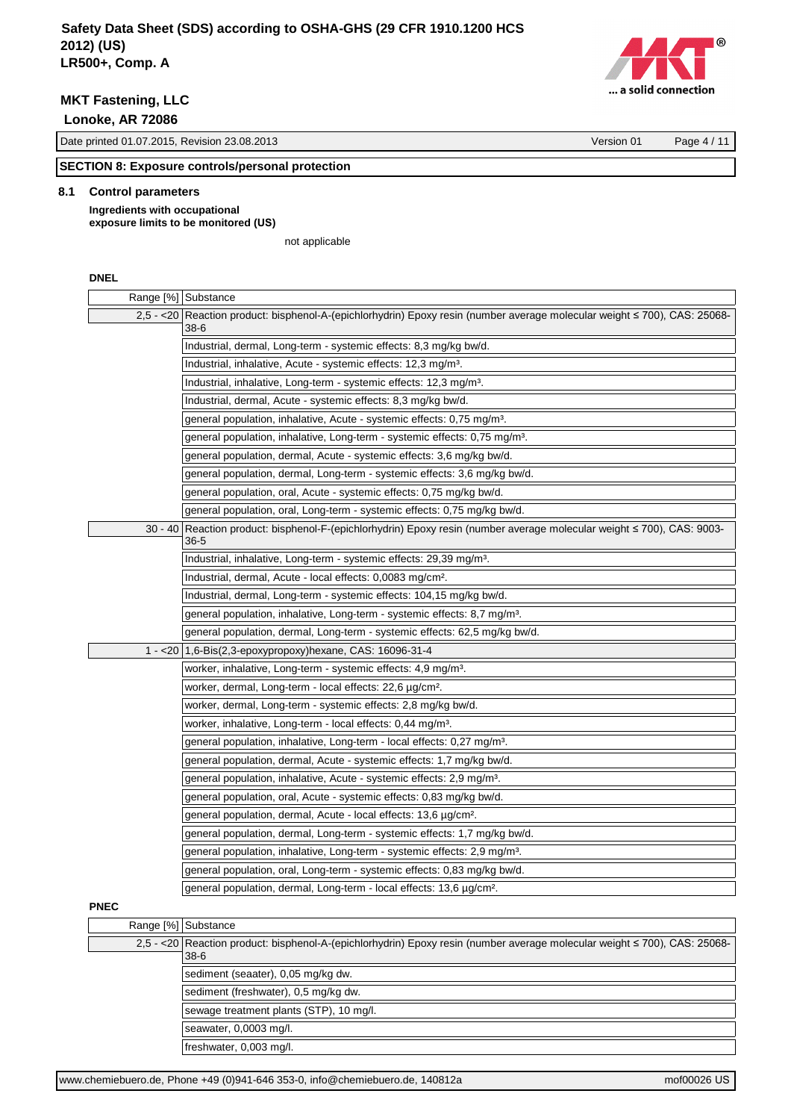**MKT Fastening, LLC**

 **Lonoke, AR 72086**

Date printed 01.07.2015, Revision 23.08.2013 Version 01 Page 4 / 11

# **SECTION 8: Exposure controls/personal protection**

## **8.1 Control parameters**

**Ingredients with occupational exposure limits to be monitored (US)**

not applicable

## **DNEL**

|             | Range [%] Substance                                                                                                                     |  |  |
|-------------|-----------------------------------------------------------------------------------------------------------------------------------------|--|--|
|             | 2,5 - <20 Reaction product: bisphenol-A-(epichlorhydrin) Epoxy resin (number average molecular weight ≤ 700), CAS: 25068-<br>$38-6$     |  |  |
|             | Industrial, dermal, Long-term - systemic effects: 8,3 mg/kg bw/d.                                                                       |  |  |
|             | Industrial, inhalative, Acute - systemic effects: 12,3 mg/m <sup>3</sup> .                                                              |  |  |
|             | Industrial, inhalative, Long-term - systemic effects: 12,3 mg/m <sup>3</sup> .                                                          |  |  |
|             | Industrial, dermal, Acute - systemic effects: 8,3 mg/kg bw/d.                                                                           |  |  |
|             | general population, inhalative, Acute - systemic effects: 0,75 mg/m <sup>3</sup> .                                                      |  |  |
|             | general population, inhalative, Long-term - systemic effects: 0,75 mg/m <sup>3</sup> .                                                  |  |  |
|             | general population, dermal, Acute - systemic effects: 3,6 mg/kg bw/d.                                                                   |  |  |
|             | general population, dermal, Long-term - systemic effects: 3,6 mg/kg bw/d.                                                               |  |  |
|             | general population, oral, Acute - systemic effects: 0,75 mg/kg bw/d.                                                                    |  |  |
|             | general population, oral, Long-term - systemic effects: 0,75 mg/kg bw/d.                                                                |  |  |
|             | 30 - 40 Reaction product: bisphenol-F-(epichlorhydrin) Epoxy resin (number average molecular weight ≤ 700), CAS: 9003-<br>$36 - 5$      |  |  |
|             | Industrial, inhalative, Long-term - systemic effects: 29,39 mg/m <sup>3</sup> .                                                         |  |  |
|             | Industrial, dermal, Acute - local effects: 0,0083 mg/cm <sup>2</sup> .                                                                  |  |  |
|             | Industrial, dermal, Long-term - systemic effects: 104,15 mg/kg bw/d.                                                                    |  |  |
|             | general population, inhalative, Long-term - systemic effects: 8,7 mg/m <sup>3</sup> .                                                   |  |  |
|             | general population, dermal, Long-term - systemic effects: 62,5 mg/kg bw/d.                                                              |  |  |
|             | 1 - < 20   1,6-Bis(2,3-epoxypropoxy) hexane, CAS: 16096-31-4                                                                            |  |  |
|             | worker, inhalative, Long-term - systemic effects: 4,9 mg/m <sup>3</sup> .                                                               |  |  |
|             | worker, dermal, Long-term - local effects: 22,6 µg/cm <sup>2</sup> .                                                                    |  |  |
|             | worker, dermal, Long-term - systemic effects: 2,8 mg/kg bw/d.                                                                           |  |  |
|             | worker, inhalative, Long-term - local effects: 0,44 mg/m <sup>3</sup> .                                                                 |  |  |
|             | general population, inhalative, Long-term - local effects: 0,27 mg/m <sup>3</sup> .                                                     |  |  |
|             | general population, dermal, Acute - systemic effects: 1,7 mg/kg bw/d.                                                                   |  |  |
|             | general population, inhalative, Acute - systemic effects: 2,9 mg/m <sup>3</sup> .                                                       |  |  |
|             | general population, oral, Acute - systemic effects: 0,83 mg/kg bw/d.                                                                    |  |  |
|             | general population, dermal, Acute - local effects: 13,6 µg/cm <sup>2</sup> .                                                            |  |  |
|             | general population, dermal, Long-term - systemic effects: 1,7 mg/kg bw/d.                                                               |  |  |
|             | general population, inhalative, Long-term - systemic effects: 2,9 mg/m <sup>3</sup> .                                                   |  |  |
|             | general population, oral, Long-term - systemic effects: 0,83 mg/kg bw/d.                                                                |  |  |
|             | general population, dermal, Long-term - local effects: 13,6 μg/cm <sup>2</sup> .                                                        |  |  |
| <b>PNEC</b> |                                                                                                                                         |  |  |
|             | Range [%] Substance                                                                                                                     |  |  |
|             | 2,5 - <20   Reaction product: bisphenol-A-(epichlorhydrin) Epoxy resin (number average molecular weight ≤ 700), CAS: 25068-<br>$38 - 6$ |  |  |

sediment (seaater), 0,05 mg/kg dw. sediment (freshwater), 0,5 mg/kg dw.

sewage treatment plants (STP), 10 mg/l.

seawater, 0,0003 mg/l.

freshwater, 0,003 mg/l.

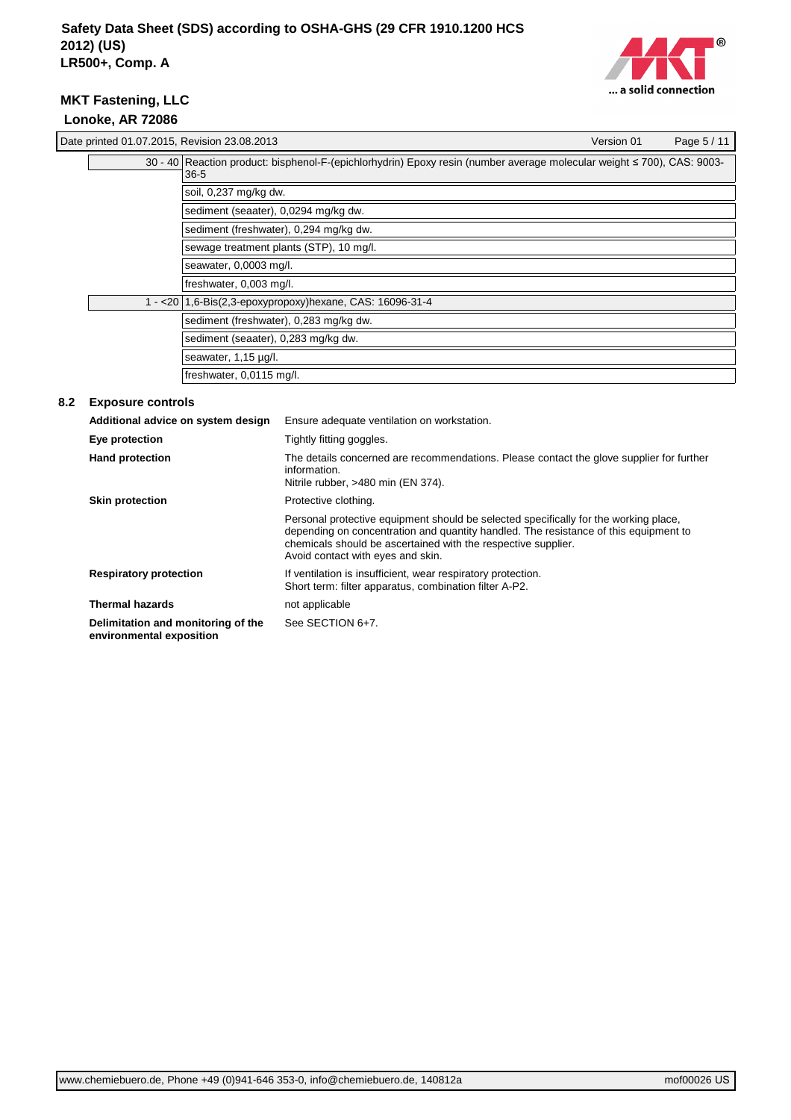

|     |                                    | Date printed 01.07.2015, Revision 23.08.2013                                                                                       |                                                                                                                                                | Version 01 | Page 5 / 11 |
|-----|------------------------------------|------------------------------------------------------------------------------------------------------------------------------------|------------------------------------------------------------------------------------------------------------------------------------------------|------------|-------------|
|     |                                    | 30 - 40 Reaction product: bisphenol-F-(epichlorhydrin) Epoxy resin (number average molecular weight ≤ 700), CAS: 9003-<br>$36 - 5$ |                                                                                                                                                |            |             |
|     |                                    | soil, 0,237 mg/kg dw.                                                                                                              |                                                                                                                                                |            |             |
|     |                                    | sediment (seaater), 0,0294 mg/kg dw.                                                                                               |                                                                                                                                                |            |             |
|     |                                    | sediment (freshwater), 0,294 mg/kg dw.                                                                                             |                                                                                                                                                |            |             |
|     |                                    |                                                                                                                                    | sewage treatment plants (STP), 10 mg/l.                                                                                                        |            |             |
|     | seawater, 0,0003 mg/l.             |                                                                                                                                    |                                                                                                                                                |            |             |
|     | freshwater, 0,003 mg/l.            |                                                                                                                                    |                                                                                                                                                |            |             |
|     |                                    | 1 - < 20   1,6-Bis(2,3-epoxypropoxy) hexane, CAS: 16096-31-4                                                                       |                                                                                                                                                |            |             |
|     |                                    | sediment (freshwater), 0,283 mg/kg dw.                                                                                             |                                                                                                                                                |            |             |
|     |                                    | sediment (seaater), 0,283 mg/kg dw.                                                                                                |                                                                                                                                                |            |             |
|     | seawater, 1,15 µg/l.               |                                                                                                                                    |                                                                                                                                                |            |             |
|     |                                    | freshwater, 0,0115 mg/l.                                                                                                           |                                                                                                                                                |            |             |
| 8.2 | <b>Exposure controls</b>           |                                                                                                                                    |                                                                                                                                                |            |             |
|     | Additional advice on system design |                                                                                                                                    | Ensure adequate ventilation on workstation.                                                                                                    |            |             |
|     | Eye protection                     |                                                                                                                                    | Tightly fitting goggles.                                                                                                                       |            |             |
|     | Hand protection                    |                                                                                                                                    | The details concerned are recommendations. Please contact the glove supplier for further<br>information.<br>Nitrile rubber, >480 min (EN 374). |            |             |

Short term: filter apparatus, combination filter A-P2.

| <b>Skin protection</b>        | Protective clothing.                                                                                                                                                                                                                                                               |
|-------------------------------|------------------------------------------------------------------------------------------------------------------------------------------------------------------------------------------------------------------------------------------------------------------------------------|
|                               | Personal protective equipment should be selected specifically for the working place,<br>depending on concentration and quantity handled. The resistance of this equipment to<br>chemicals should be ascertained with the respective supplier.<br>Avoid contact with eyes and skin. |
| <b>Respiratory protection</b> | If ventilation is insufficient, wear respiratory protection.                                                                                                                                                                                                                       |

See SECTION 6+7.

**Thermal hazards** not applicable

**Delimitation and monitoring of the environmental exposition**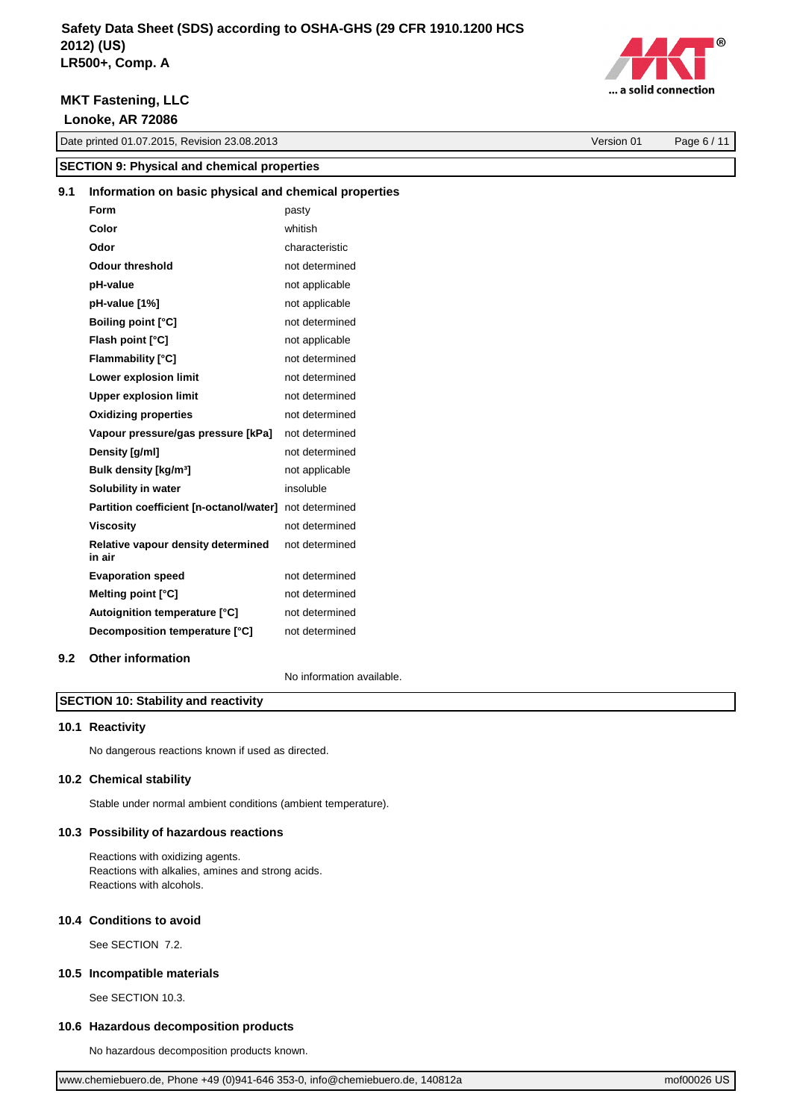

| $\dots$ a solid connection |  |
|----------------------------|--|

Date printed 01.07.2015, Revision 23.08.2013 Version 01 Page 6 / 11

| <b>SECTION 9: Physical and chemical properties</b> |                                                        |                           |  |
|----------------------------------------------------|--------------------------------------------------------|---------------------------|--|
| 9.1                                                | Information on basic physical and chemical properties  |                           |  |
|                                                    | Form                                                   | pasty                     |  |
|                                                    | Color                                                  | whitish                   |  |
|                                                    | Odor                                                   | characteristic            |  |
|                                                    | <b>Odour threshold</b>                                 | not determined            |  |
|                                                    | pH-value                                               | not applicable            |  |
|                                                    | pH-value [1%]                                          | not applicable            |  |
|                                                    | <b>Boiling point [°C]</b>                              | not determined            |  |
|                                                    | Flash point [°C]                                       | not applicable            |  |
|                                                    | Flammability [°C]                                      | not determined            |  |
|                                                    | Lower explosion limit                                  | not determined            |  |
|                                                    | <b>Upper explosion limit</b>                           | not determined            |  |
|                                                    | <b>Oxidizing properties</b>                            | not determined            |  |
|                                                    | Vapour pressure/gas pressure [kPa]                     | not determined            |  |
|                                                    | Density [g/ml]                                         | not determined            |  |
|                                                    | Bulk density [kg/m <sup>3</sup> ]                      | not applicable            |  |
|                                                    | Solubility in water                                    | insoluble                 |  |
|                                                    | Partition coefficient [n-octanol/water] not determined |                           |  |
|                                                    | <b>Viscosity</b>                                       | not determined            |  |
|                                                    | Relative vapour density determined<br>in air           | not determined            |  |
|                                                    | <b>Evaporation speed</b>                               | not determined            |  |
|                                                    | Melting point [°C]                                     | not determined            |  |
|                                                    | Autoignition temperature [°C]                          | not determined            |  |
|                                                    | Decomposition temperature [°C]                         | not determined            |  |
| 9.2                                                | <b>Other information</b>                               |                           |  |
|                                                    |                                                        | No information available. |  |

# **SECTION 10: Stability and reactivity**

## **10.1 Reactivity**

No dangerous reactions known if used as directed.

## **10.2 Chemical stability**

Stable under normal ambient conditions (ambient temperature).

## **10.3 Possibility of hazardous reactions**

Reactions with oxidizing agents. Reactions with alkalies, amines and strong acids. Reactions with alcohols.

## **10.4 Conditions to avoid**

See SECTION 7.2.

#### **10.5 Incompatible materials**

See SECTION 10.3.

## **10.6 Hazardous decomposition products**

No hazardous decomposition products known.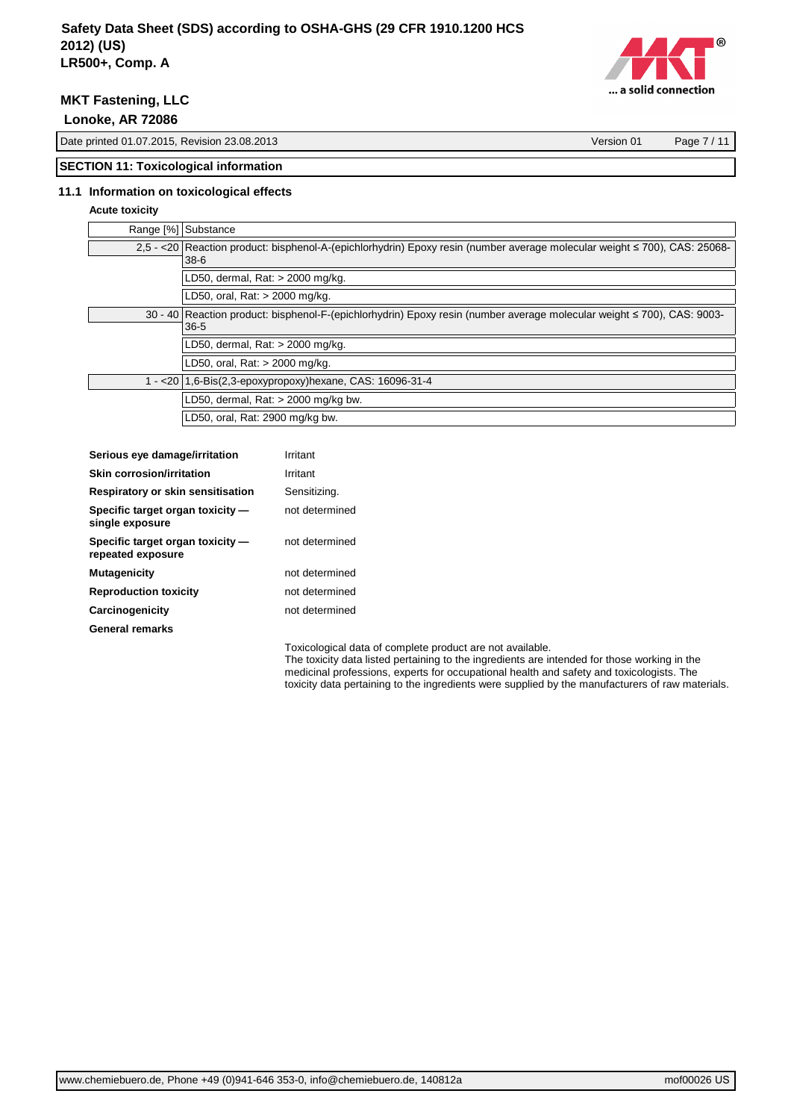

**MKT Fastening, LLC**

 **Lonoke, AR 72086**

Date printed 01.07.2015, Revision 23.08.2013 Version 01 Page 7 / 11

# **SECTION 11: Toxicological information**

## **11.1 Information on toxicological effects**

# **Acute toxicity**

| Range [%] Substance                                                                                                                     |
|-----------------------------------------------------------------------------------------------------------------------------------------|
| 2,5 - <20   Reaction product: bisphenol-A-(epichlorhydrin) Epoxy resin (number average molecular weight ≤ 700), CAS: 25068-<br>$38 - 6$ |
| LD50, dermal, Rat: > 2000 mg/kg.                                                                                                        |
| LD50, oral, Rat: > 2000 mg/kg.                                                                                                          |
| 30 - 40 Reaction product: bisphenol-F-(epichlorhydrin) Epoxy resin (number average molecular weight ≤ 700), CAS: 9003-                  |
| $36-5$                                                                                                                                  |
| LD50, dermal, Rat: > 2000 mg/kg.                                                                                                        |
| LD50, oral, Rat: > 2000 mg/kg.                                                                                                          |
| 1 - < 20   1,6-Bis(2,3-epoxypropoxy) hexane, CAS: 16096-31-4                                                                            |
| LD50, dermal, Rat: $>$ 2000 mg/kg bw.                                                                                                   |
| LD50, oral, Rat: 2900 mg/kg bw.                                                                                                         |

| Serious eye damage/irritation                         | Irritant       |
|-------------------------------------------------------|----------------|
| <b>Skin corrosion/irritation</b>                      | Irritant       |
| Respiratory or skin sensitisation                     | Sensitizing.   |
| Specific target organ toxicity -<br>single exposure   | not determined |
| Specific target organ toxicity -<br>repeated exposure | not determined |
| <b>Mutagenicity</b>                                   | not determined |
| <b>Reproduction toxicity</b>                          | not determined |
| Carcinogenicity                                       | not determined |
| <b>General remarks</b>                                |                |

Toxicological data of complete product are not available. The toxicity data listed pertaining to the ingredients are intended for those working in the medicinal professions, experts for occupational health and safety and toxicologists. The toxicity data pertaining to the ingredients were supplied by the manufacturers of raw materials.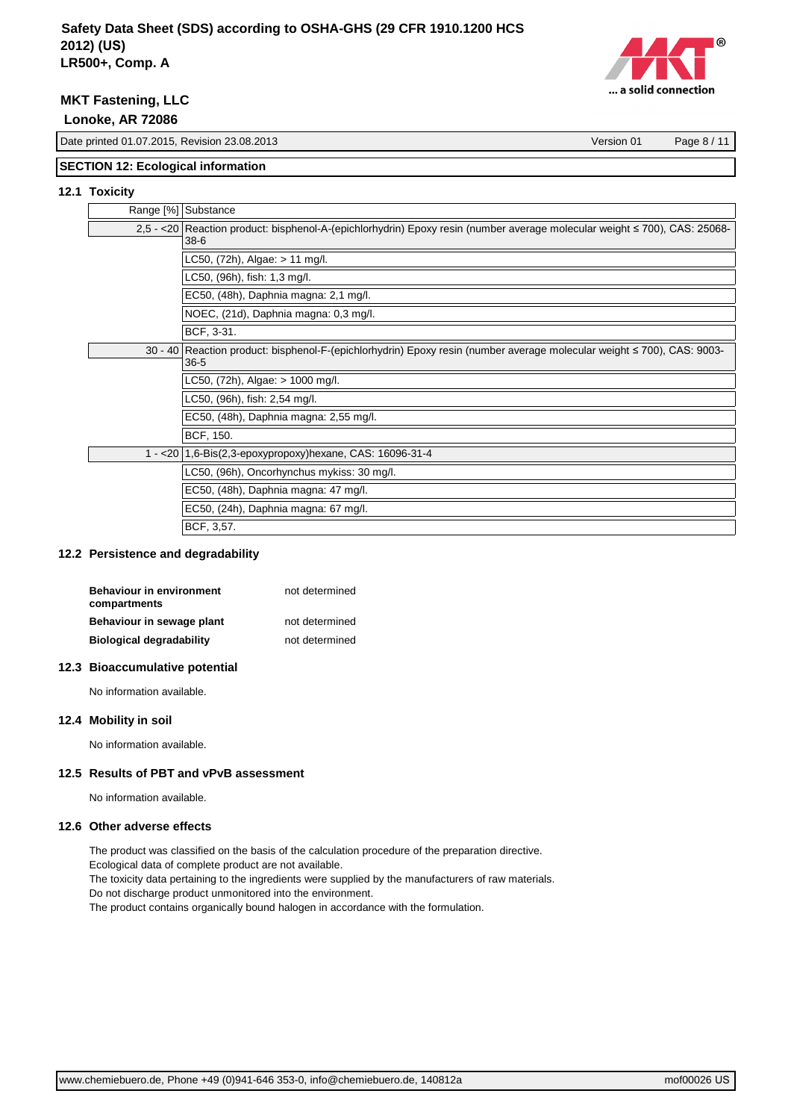

**MKT Fastening, LLC**

 **Lonoke, AR 72086**

Date printed 01.07.2015, Revision 23.08.2013 Version 01 Page 8 / 11

## **SECTION 12: Ecological information**

## **12.1 Toxicity**

| Range [%] Substance |                                                                                                                                         |
|---------------------|-----------------------------------------------------------------------------------------------------------------------------------------|
|                     | 2,5 - <20   Reaction product: bisphenol-A-(epichlorhydrin) Epoxy resin (number average molecular weight ≤ 700), CAS: 25068-<br>$38 - 6$ |
|                     | LC50, (72h), Algae: > 11 mg/l.                                                                                                          |
|                     | LC50, (96h), fish: 1,3 mg/l.                                                                                                            |
|                     | EC50, (48h), Daphnia magna: 2,1 mg/l.                                                                                                   |
|                     | NOEC, (21d), Daphnia magna: 0,3 mg/l.                                                                                                   |
|                     | BCF, 3-31.                                                                                                                              |
|                     | 30 - 40 Reaction product: bisphenol-F-(epichlorhydrin) Epoxy resin (number average molecular weight ≤ 700), CAS: 9003-<br>$36 - 5$      |
|                     | LC50, $(72h)$ , Algae: $> 1000$ mg/l.                                                                                                   |
|                     | LC50, (96h), fish: 2,54 mg/l.                                                                                                           |
|                     | EC50, (48h), Daphnia magna: 2,55 mg/l.                                                                                                  |
|                     | BCF, 150.                                                                                                                               |
|                     | 1 - < 20   1,6-Bis(2,3-epoxypropoxy) hexane, CAS: 16096-31-4                                                                            |
|                     | LC50, (96h), Oncorhynchus mykiss: 30 mg/l.                                                                                              |
|                     | EC50, (48h), Daphnia magna: 47 mg/l.                                                                                                    |
|                     | EC50, (24h), Daphnia magna: 67 mg/l.                                                                                                    |
|                     | BCF, 3,57.                                                                                                                              |

## **12.2 Persistence and degradability**

| <b>Behaviour in environment</b><br>compartments | not determined |
|-------------------------------------------------|----------------|
| Behaviour in sewage plant                       | not determined |
| <b>Biological degradability</b>                 | not determined |
|                                                 |                |

## **12.3 Bioaccumulative potential**

No information available.

## **12.4 Mobility in soil**

No information available.

## **12.5 Results of PBT and vPvB assessment**

No information available.

#### **12.6 Other adverse effects**

The product was classified on the basis of the calculation procedure of the preparation directive.

Ecological data of complete product are not available.

The toxicity data pertaining to the ingredients were supplied by the manufacturers of raw materials.

Do not discharge product unmonitored into the environment.

The product contains organically bound halogen in accordance with the formulation.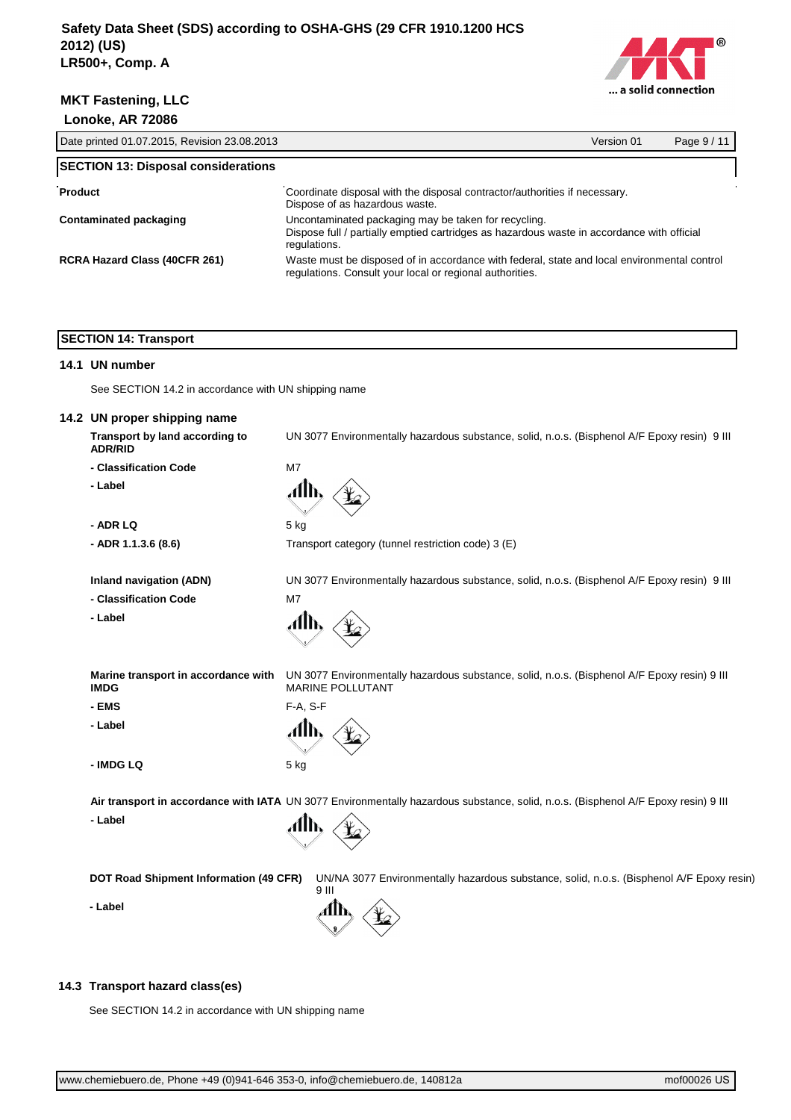



| Date printed 01.07.2015, Revision 23.08.2013 |                                                                                                                                                                    | Version 01 | Page 9 / 11 |
|----------------------------------------------|--------------------------------------------------------------------------------------------------------------------------------------------------------------------|------------|-------------|
| <b>SECTION 13: Disposal considerations</b>   |                                                                                                                                                                    |            |             |
| Product                                      | Coordinate disposal with the disposal contractor/authorities if necessary.<br>Dispose of as hazardous waste.                                                       |            |             |
| Contaminated packaging                       | Uncontaminated packaging may be taken for recycling.<br>Dispose full / partially emptied cartridges as hazardous waste in accordance with official<br>regulations. |            |             |
| <b>RCRA Hazard Class (40CFR 261)</b>         | Waste must be disposed of in accordance with federal, state and local environmental control<br>regulations. Consult your local or regional authorities.            |            |             |

## **SECTION 14: Transport**

#### **14.1 UN number**

See SECTION 14.2 in accordance with UN shipping name

# **14.2 UN proper shipping name**

**Transport by land according to ADR/RID**

- **Classification Code** M7
- **Label**

**- ADR LQ**

**- ADR 1.1.3.6 (8.6)**

Transport category (tunnel restriction code) 3 (E)

UN 3077 Environmentally hazardous substance, solid, n.o.s. (Bisphenol A/F Epoxy resin) 9 III

UN 3077 Environmentally hazardous substance, solid, n.o.s. (Bisphenol A/F Epoxy resin) 9 III

UN 3077 Environmentally hazardous substance, solid, n.o.s. (Bisphenol A/F Epoxy resin) 9 III

**Inland navigation (ADN)**

**- Classification Code**

**- Label**

F-A, S-F

MARINE POLLUTANT

5 kg

A

M7

**Marine transport in accordance with IMDG**

**- EMS**

**- Label**

**- IMDG LQ** 5 kg

**Air transport in accordance with IATA** UN 3077 Environmentally hazardous substance, solid, n.o.s. (Bisphenol A/F Epoxy resin) 9 III

**- Label**



**DOT Road Shipment Information (49 CFR)** UN/NA 3077 Environmentally hazardous substance, solid, n.o.s. (Bisphenol A/F Epoxy resin) 9 III

**- Label**

## **14.3 Transport hazard class(es)**

See SECTION 14.2 in accordance with UN shipping name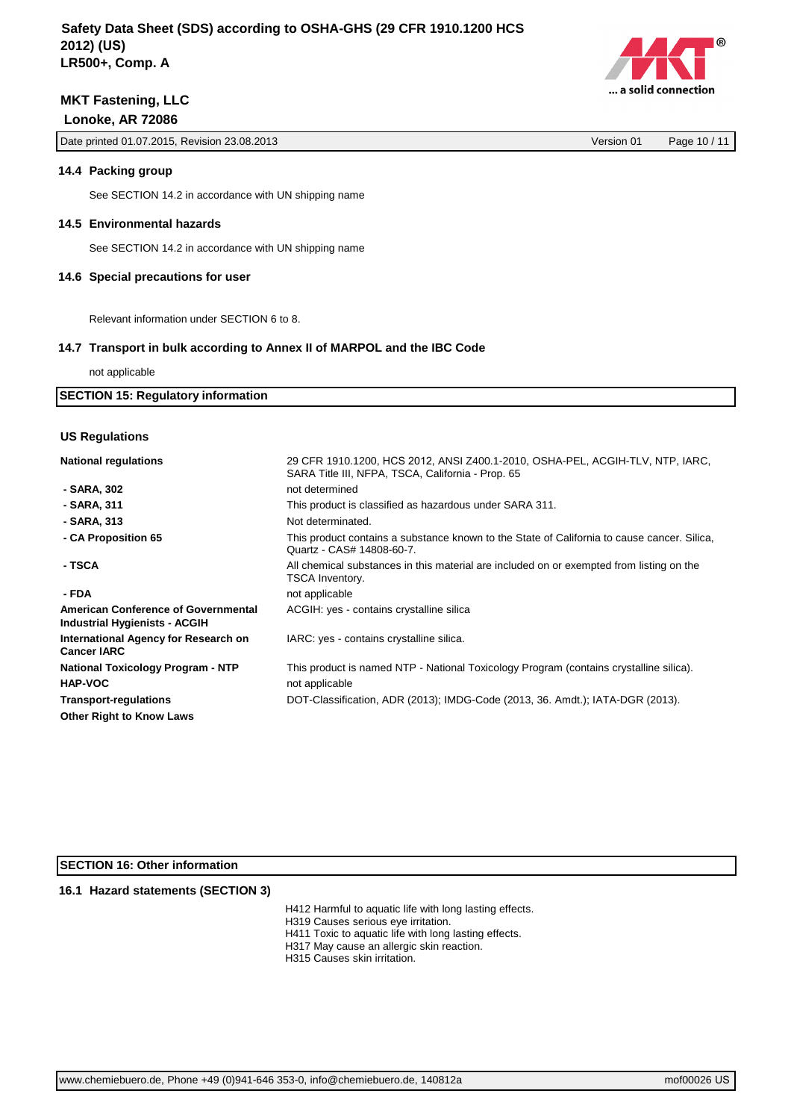Date printed 01.07.2015, Revision 23.08.2013 Version 01 Page 10 / 11

## **14.4 Packing group**

See SECTION 14.2 in accordance with UN shipping name

## **14.5 Environmental hazards**

See SECTION 14.2 in accordance with UN shipping name

#### **14.6 Special precautions for user**

Relevant information under SECTION 6 to 8.

#### **14.7 Transport in bulk according to Annex II of MARPOL and the IBC Code**

not applicable

### **SECTION 15: Regulatory information**

#### **US Regulations**

| <b>National regulations</b>                                                 | 29 CFR 1910.1200, HCS 2012, ANSI Z400.1-2010, OSHA-PEL, ACGIH-TLV, NTP, IARC,<br>SARA Title III, NFPA, TSCA, California - Prop. 65 |
|-----------------------------------------------------------------------------|------------------------------------------------------------------------------------------------------------------------------------|
| - SARA, 302                                                                 | not determined                                                                                                                     |
| - SARA, 311                                                                 | This product is classified as hazardous under SARA 311.                                                                            |
| - SARA, 313                                                                 | Not determinated.                                                                                                                  |
| - CA Proposition 65                                                         | This product contains a substance known to the State of California to cause cancer. Silica,<br>Quartz - CAS# 14808-60-7.           |
| - TSCA                                                                      | All chemical substances in this material are included on or exempted from listing on the<br>TSCA Inventory.                        |
| - FDA                                                                       | not applicable                                                                                                                     |
| American Conference of Governmental<br><b>Industrial Hygienists - ACGIH</b> | ACGIH: yes - contains crystalline silica                                                                                           |
| International Agency for Research on<br><b>Cancer IARC</b>                  | IARC: yes - contains crystalline silica.                                                                                           |
| <b>National Toxicology Program - NTP</b>                                    | This product is named NTP - National Toxicology Program (contains crystalline silica).                                             |
| <b>HAP-VOC</b>                                                              | not applicable                                                                                                                     |
| <b>Transport-regulations</b>                                                | DOT-Classification, ADR (2013); IMDG-Code (2013, 36. Amdt.); IATA-DGR (2013).                                                      |
| <b>Other Right to Know Laws</b>                                             |                                                                                                                                    |

# **SECTION 16: Other information**

## **16.1 Hazard statements (SECTION 3)**

- H412 Harmful to aquatic life with long lasting effects.
- H319 Causes serious eye irritation.
- H411 Toxic to aquatic life with long lasting effects.
- H317 May cause an allergic skin reaction.
- H315 Causes skin irritation.

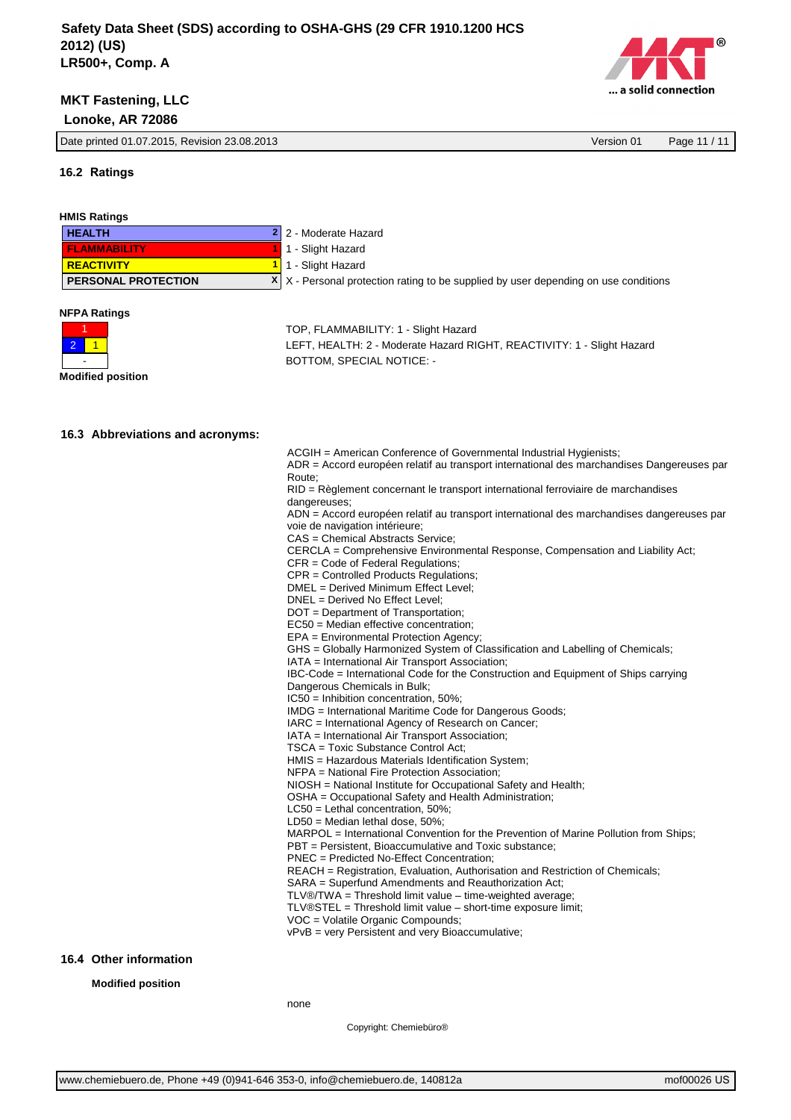

Date printed 01.07.2015, Revision 23.08.2013 Version 01 Page 11 / 11

## **16.2 Ratings**

| <b>HMIS Ratings</b>               |                                                                                                                             |
|-----------------------------------|-----------------------------------------------------------------------------------------------------------------------------|
| <b>HEALTH</b><br>2                | 2 - Moderate Hazard                                                                                                         |
| <b>FLAMMABILITY</b>               | 1 - Slight Hazard                                                                                                           |
| <b>REACTIVITY</b><br>$\mathbf{1}$ | 1 - Slight Hazard                                                                                                           |
| PERSONAL PROTECTION<br>X          | X - Personal protection rating to be supplied by user depending on use conditions                                           |
|                                   |                                                                                                                             |
| <b>NFPA Ratings</b>               |                                                                                                                             |
| 1                                 | TOP, FLAMMABILITY: 1 - Slight Hazard                                                                                        |
| 2.<br>1                           | LEFT, HEALTH: 2 - Moderate Hazard RIGHT, REACTIVITY: 1 - Slight Hazard                                                      |
|                                   | BOTTOM, SPECIAL NOTICE: -                                                                                                   |
| <b>Modified position</b>          |                                                                                                                             |
|                                   |                                                                                                                             |
|                                   |                                                                                                                             |
| 16.3 Abbreviations and acronyms:  |                                                                                                                             |
|                                   | ACGIH = American Conference of Governmental Industrial Hygienists;                                                          |
|                                   | ADR = Accord européen relatif au transport international des marchandises Dangereuses par<br>Route:                         |
|                                   | RID = Règlement concernant le transport international ferroviaire de marchandises                                           |
|                                   | dangereuses;                                                                                                                |
|                                   | ADN = Accord européen relatif au transport international des marchandises dangereuses par<br>voie de navigation intérieure; |
|                                   | CAS = Chemical Abstracts Service;                                                                                           |
|                                   | CERCLA = Comprehensive Environmental Response, Compensation and Liability Act;                                              |
|                                   | CFR = Code of Federal Regulations;<br>CPR = Controlled Products Regulations;                                                |
|                                   | DMEL = Derived Minimum Effect Level;                                                                                        |
|                                   | DNEL = Derived No Effect Level;                                                                                             |
|                                   | DOT = Department of Transportation;                                                                                         |
|                                   | EC50 = Median effective concentration;<br>EPA = Environmental Protection Agency;                                            |
|                                   | GHS = Globally Harmonized System of Classification and Labelling of Chemicals;                                              |
|                                   | IATA = International Air Transport Association;                                                                             |
|                                   | IBC-Code = International Code for the Construction and Equipment of Ships carrying                                          |
|                                   | Dangerous Chemicals in Bulk;                                                                                                |
|                                   | $IC50 = Inhibition concentration, 50\%;$<br>IMDG = International Maritime Code for Dangerous Goods;                         |
|                                   | IARC = International Agency of Research on Cancer;                                                                          |
|                                   | IATA = International Air Transport Association;                                                                             |
|                                   | TSCA = Toxic Substance Control Act;                                                                                         |
|                                   | HMIS = Hazardous Materials Identification System;                                                                           |
|                                   | NFPA = National Fire Protection Association;<br>NIOSH = National Institute for Occupational Safety and Health;              |
|                                   | OSHA = Occupational Safety and Health Administration;                                                                       |
|                                   | $LC50$ = Lethal concentration, 50%;                                                                                         |
|                                   | $LD50 = Median$ lethal dose, 50%;                                                                                           |
|                                   | MARPOL = International Convention for the Prevention of Marine Pollution from Ships;                                        |
|                                   | PBT = Persistent, Bioaccumulative and Toxic substance;<br>PNEC = Predicted No-Effect Concentration;                         |
|                                   | REACH = Registration, Evaluation, Authorisation and Restriction of Chemicals;                                               |
|                                   | SARA = Superfund Amendments and Reauthorization Act;                                                                        |
|                                   | $TLV@/TWA = Threshold limit value - time-weighted average;$                                                                 |
|                                   | $TLV@STEL = Threshold limit value - short-time exposure limit;$                                                             |
|                                   | VOC = Volatile Organic Compounds;<br>vPvB = very Persistent and very Bioaccumulative;                                       |
|                                   |                                                                                                                             |
| 16.4 Other information            |                                                                                                                             |

**Modified position**

none

Copyright: Chemiebüro®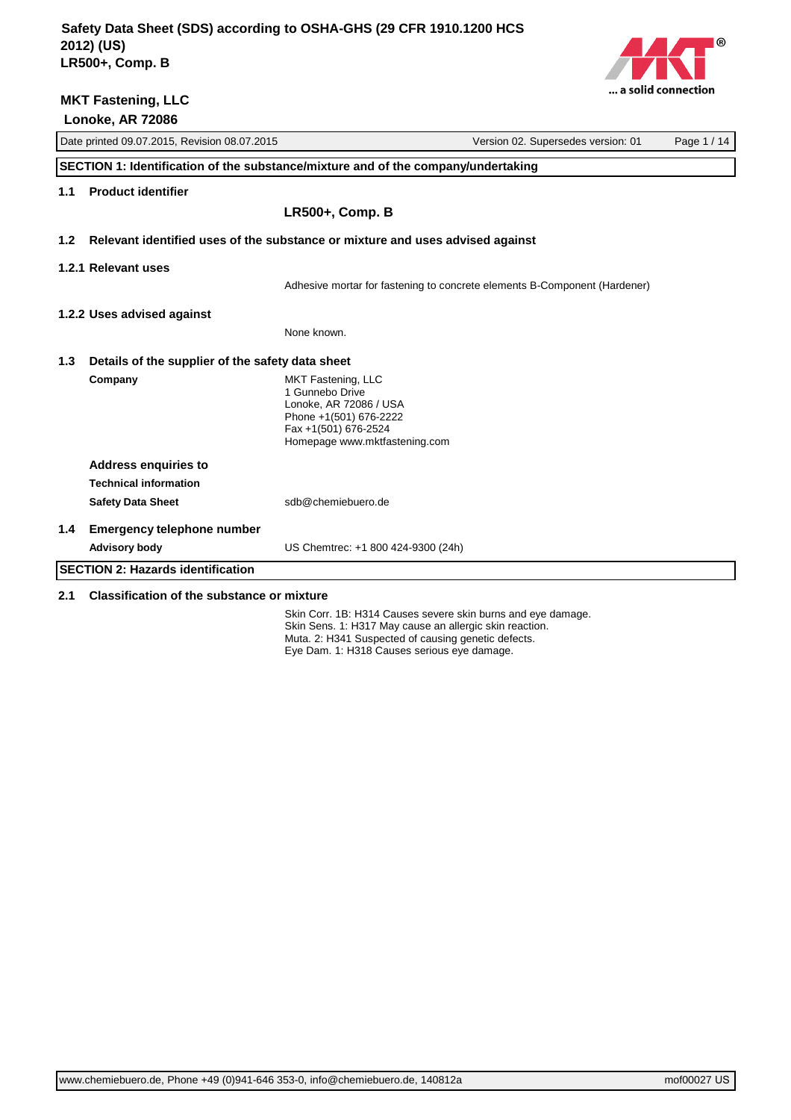

|                                                         | Date printed 09.07.2015, Revision 08.07.2015<br>Version 02. Supersedes version: 01<br>Page 1 / 14 |                                                                                                                                                    |                                                                           |  |
|---------------------------------------------------------|---------------------------------------------------------------------------------------------------|----------------------------------------------------------------------------------------------------------------------------------------------------|---------------------------------------------------------------------------|--|
|                                                         | SECTION 1: Identification of the substance/mixture and of the company/undertaking                 |                                                                                                                                                    |                                                                           |  |
| 1.1                                                     | <b>Product identifier</b>                                                                         |                                                                                                                                                    |                                                                           |  |
|                                                         |                                                                                                   | <b>LR500+, Comp. B</b>                                                                                                                             |                                                                           |  |
| 1.2 <sub>2</sub>                                        | Relevant identified uses of the substance or mixture and uses advised against                     |                                                                                                                                                    |                                                                           |  |
|                                                         | 1.2.1 Relevant uses                                                                               |                                                                                                                                                    |                                                                           |  |
|                                                         |                                                                                                   |                                                                                                                                                    | Adhesive mortar for fastening to concrete elements B-Component (Hardener) |  |
|                                                         | 1.2.2 Uses advised against                                                                        |                                                                                                                                                    |                                                                           |  |
|                                                         |                                                                                                   | None known.                                                                                                                                        |                                                                           |  |
| 1.3<br>Details of the supplier of the safety data sheet |                                                                                                   |                                                                                                                                                    |                                                                           |  |
|                                                         | Company                                                                                           | MKT Fastening, LLC<br>1 Gunnebo Drive<br>Lonoke, AR 72086 / USA<br>Phone +1(501) 676-2222<br>Fax +1(501) 676-2524<br>Homepage www.mktfastening.com |                                                                           |  |
|                                                         | <b>Address enquiries to</b>                                                                       |                                                                                                                                                    |                                                                           |  |
|                                                         | <b>Technical information</b>                                                                      |                                                                                                                                                    |                                                                           |  |
|                                                         | <b>Safety Data Sheet</b>                                                                          | sdb@chemiebuero.de                                                                                                                                 |                                                                           |  |
| 1.4                                                     | <b>Emergency telephone number</b>                                                                 |                                                                                                                                                    |                                                                           |  |
|                                                         | <b>Advisory body</b>                                                                              | US Chemtrec: +1 800 424-9300 (24h)                                                                                                                 |                                                                           |  |
|                                                         | <b>SECTION 2: Hazards identification</b>                                                          |                                                                                                                                                    |                                                                           |  |
| 2.1                                                     | <b>Classification of the substance or mixture</b>                                                 |                                                                                                                                                    |                                                                           |  |

Skin Corr. 1B: H314 Causes severe skin burns and eye damage. Skin Sens. 1: H317 May cause an allergic skin reaction. Muta. 2: H341 Suspected of causing genetic defects. Eye Dam. 1: H318 Causes serious eye damage.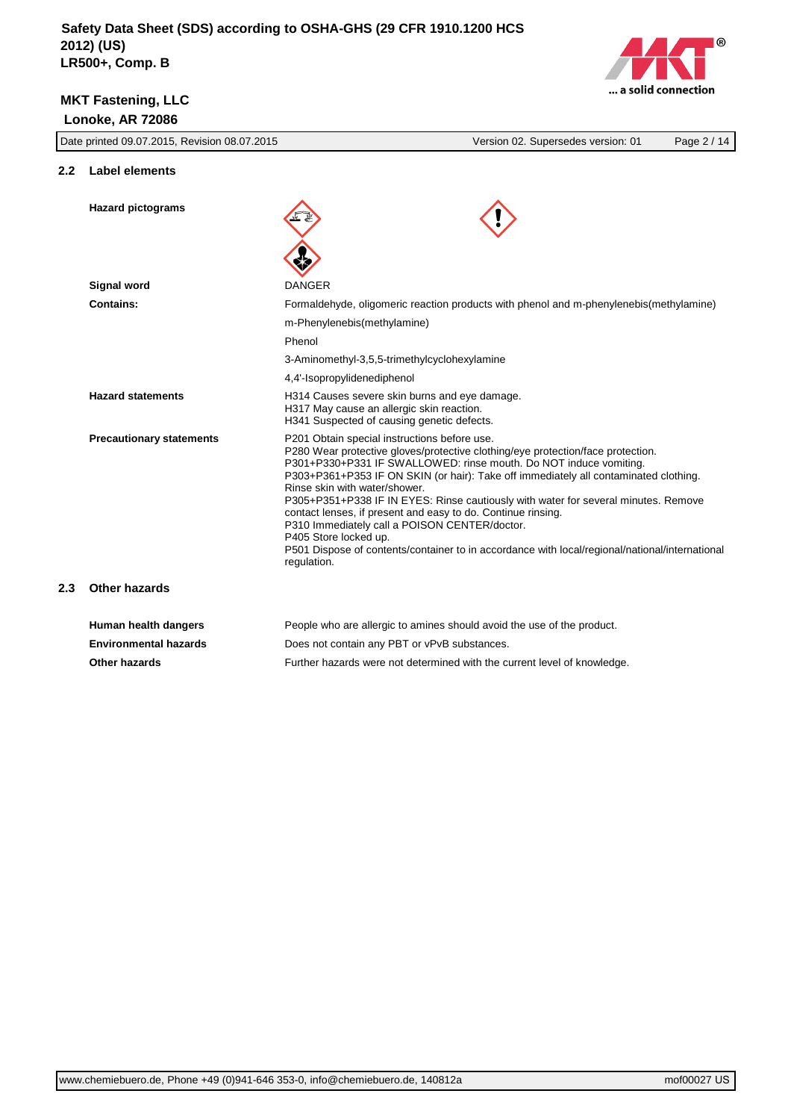

| Date printed 09.07.2015, Revision 08.07.2015 |                                 | Page 2 / 14<br>Version 02. Supersedes version: 01                                                                                                                                                                                                                                                                                                                                                                                                                                                                                                                                                                                                                              |
|----------------------------------------------|---------------------------------|--------------------------------------------------------------------------------------------------------------------------------------------------------------------------------------------------------------------------------------------------------------------------------------------------------------------------------------------------------------------------------------------------------------------------------------------------------------------------------------------------------------------------------------------------------------------------------------------------------------------------------------------------------------------------------|
| 2.2                                          | <b>Label elements</b>           |                                                                                                                                                                                                                                                                                                                                                                                                                                                                                                                                                                                                                                                                                |
|                                              | <b>Hazard pictograms</b>        |                                                                                                                                                                                                                                                                                                                                                                                                                                                                                                                                                                                                                                                                                |
|                                              |                                 |                                                                                                                                                                                                                                                                                                                                                                                                                                                                                                                                                                                                                                                                                |
|                                              | Signal word                     | <b>DANGER</b>                                                                                                                                                                                                                                                                                                                                                                                                                                                                                                                                                                                                                                                                  |
|                                              | <b>Contains:</b>                | Formaldehyde, oligomeric reaction products with phenol and m-phenylenebis (methylamine)                                                                                                                                                                                                                                                                                                                                                                                                                                                                                                                                                                                        |
|                                              |                                 | m-Phenylenebis(methylamine)                                                                                                                                                                                                                                                                                                                                                                                                                                                                                                                                                                                                                                                    |
|                                              |                                 | Phenol                                                                                                                                                                                                                                                                                                                                                                                                                                                                                                                                                                                                                                                                         |
|                                              |                                 | 3-Aminomethyl-3,5,5-trimethylcyclohexylamine                                                                                                                                                                                                                                                                                                                                                                                                                                                                                                                                                                                                                                   |
|                                              |                                 | 4,4'-Isopropylidenediphenol                                                                                                                                                                                                                                                                                                                                                                                                                                                                                                                                                                                                                                                    |
|                                              | <b>Hazard statements</b>        | H314 Causes severe skin burns and eye damage.<br>H317 May cause an allergic skin reaction.<br>H341 Suspected of causing genetic defects.                                                                                                                                                                                                                                                                                                                                                                                                                                                                                                                                       |
|                                              | <b>Precautionary statements</b> | P201 Obtain special instructions before use.<br>P280 Wear protective gloves/protective clothing/eye protection/face protection.<br>P301+P330+P331 IF SWALLOWED: rinse mouth. Do NOT induce vomiting.<br>P303+P361+P353 IF ON SKIN (or hair): Take off immediately all contaminated clothing.<br>Rinse skin with water/shower.<br>P305+P351+P338 IF IN EYES: Rinse cautiously with water for several minutes. Remove<br>contact lenses, if present and easy to do. Continue rinsing.<br>P310 Immediately call a POISON CENTER/doctor.<br>P405 Store locked up.<br>P501 Dispose of contents/container to in accordance with local/regional/national/international<br>regulation. |
| 2.3                                          | Other hazards                   |                                                                                                                                                                                                                                                                                                                                                                                                                                                                                                                                                                                                                                                                                |
|                                              | Human health dangers            | People who are allergic to amines should avoid the use of the product.                                                                                                                                                                                                                                                                                                                                                                                                                                                                                                                                                                                                         |

**Environmental hazards** Does not contain any PBT or vPvB substances. **Other hazards** Further hazards were not determined with the current level of knowledge.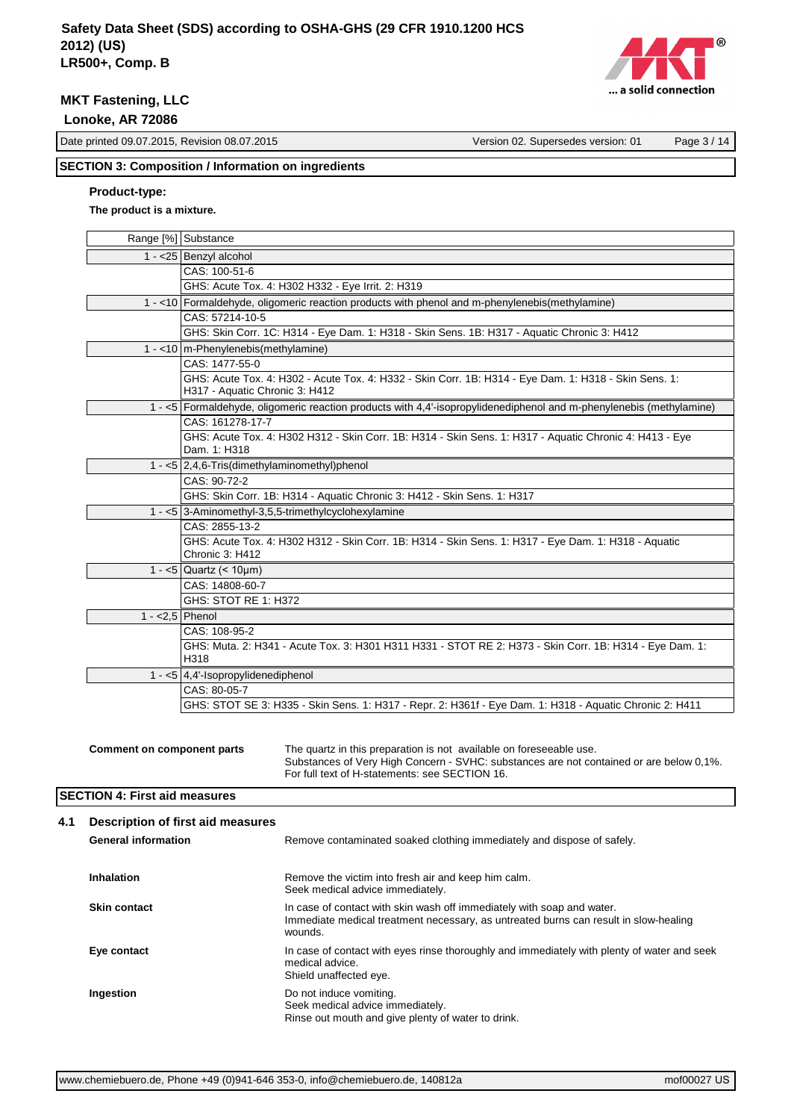

Date printed 09.07.2015, Revision 08.07.2015 Version 02. Supersedes version: 01 Page 3 / 14

# **SECTION 3: Composition / Information on ingredients**

# **Product-type:**

# **The product is a mixture.**

|                                   | Range [%] Substance                                                                                                                                                                                              |
|-----------------------------------|------------------------------------------------------------------------------------------------------------------------------------------------------------------------------------------------------------------|
|                                   | 1 - < 25 Benzyl alcohol                                                                                                                                                                                          |
|                                   | CAS: 100-51-6                                                                                                                                                                                                    |
|                                   | GHS: Acute Tox. 4: H302 H332 - Eye Irrit. 2: H319                                                                                                                                                                |
|                                   | 1 - <10 Formaldehyde, oligomeric reaction products with phenol and m-phenylenebis(methylamine)                                                                                                                   |
|                                   | CAS: 57214-10-5                                                                                                                                                                                                  |
|                                   | GHS: Skin Corr. 1C: H314 - Eye Dam. 1: H318 - Skin Sens. 1B: H317 - Aquatic Chronic 3: H412                                                                                                                      |
|                                   | $1 - 10$ m-Phenylenebis (methylamine)                                                                                                                                                                            |
|                                   | CAS: 1477-55-0                                                                                                                                                                                                   |
|                                   | GHS: Acute Tox. 4: H302 - Acute Tox. 4: H332 - Skin Corr. 1B: H314 - Eye Dam. 1: H318 - Skin Sens. 1:<br>H317 - Aquatic Chronic 3: H412                                                                          |
|                                   | 1 - <5 Formaldehyde, oligomeric reaction products with 4,4'-isopropylidenediphenol and m-phenylenebis (methylamine)                                                                                              |
|                                   | CAS: 161278-17-7                                                                                                                                                                                                 |
|                                   | GHS: Acute Tox. 4: H302 H312 - Skin Corr. 1B: H314 - Skin Sens. 1: H317 - Aquatic Chronic 4: H413 - Eye<br>Dam. 1: H318                                                                                          |
|                                   | 1 - $\lt 5$   2,4,6-Tris(dimethylaminomethyl)phenol                                                                                                                                                              |
|                                   | CAS: 90-72-2                                                                                                                                                                                                     |
|                                   | GHS: Skin Corr. 1B: H314 - Aquatic Chronic 3: H412 - Skin Sens. 1: H317                                                                                                                                          |
|                                   | 1 - <5 3-Aminomethyl-3,5,5-trimethylcyclohexylamine                                                                                                                                                              |
|                                   | CAS: 2855-13-2                                                                                                                                                                                                   |
|                                   | GHS: Acute Tox. 4: H302 H312 - Skin Corr. 1B: H314 - Skin Sens. 1: H317 - Eye Dam. 1: H318 - Aquatic<br>Chronic 3: H412                                                                                          |
|                                   | 1 - <5   Quartz (< $10 \mu m$ )                                                                                                                                                                                  |
|                                   | CAS: 14808-60-7                                                                                                                                                                                                  |
|                                   | GHS: STOT RE 1: H372                                                                                                                                                                                             |
| 1 - $<$ 2,5 Phenol                |                                                                                                                                                                                                                  |
|                                   | CAS: 108-95-2                                                                                                                                                                                                    |
|                                   | GHS: Muta. 2: H341 - Acute Tox. 3: H301 H311 H331 - STOT RE 2: H373 - Skin Corr. 1B: H314 - Eye Dam. 1:<br>H318                                                                                                  |
|                                   | 1 - <5 $ 4,4$ - Isopropylidenediphenol                                                                                                                                                                           |
|                                   | CAS: 80-05-7                                                                                                                                                                                                     |
|                                   | GHS: STOT SE 3: H335 - Skin Sens. 1: H317 - Repr. 2: H361f - Eye Dam. 1: H318 - Aquatic Chronic 2: H411                                                                                                          |
|                                   |                                                                                                                                                                                                                  |
| <b>Comment on component parts</b> | The quartz in this preparation is not available on foreseeable use.<br>Substances of Very High Concern - SVHC: substances are not contained or are below 0,1%.<br>For full text of H-statements: see SECTION 16. |

## **SECTION 4: First aid measures**

| 4.1 | Description of first aid measures |                                                                                                                                                                           |
|-----|-----------------------------------|---------------------------------------------------------------------------------------------------------------------------------------------------------------------------|
|     | <b>General information</b>        | Remove contaminated soaked clothing immediately and dispose of safely.                                                                                                    |
|     | Inhalation                        | Remove the victim into fresh air and keep him calm.<br>Seek medical advice immediately.                                                                                   |
|     | <b>Skin contact</b>               | In case of contact with skin wash off immediately with soap and water.<br>Immediate medical treatment necessary, as untreated burns can result in slow-healing<br>wounds. |
|     | Eye contact                       | In case of contact with eyes rinse thoroughly and immediately with plenty of water and seek<br>medical advice.<br>Shield unaffected eye.                                  |
|     | Ingestion                         | Do not induce vomiting.<br>Seek medical advice immediately.<br>Rinse out mouth and give plenty of water to drink.                                                         |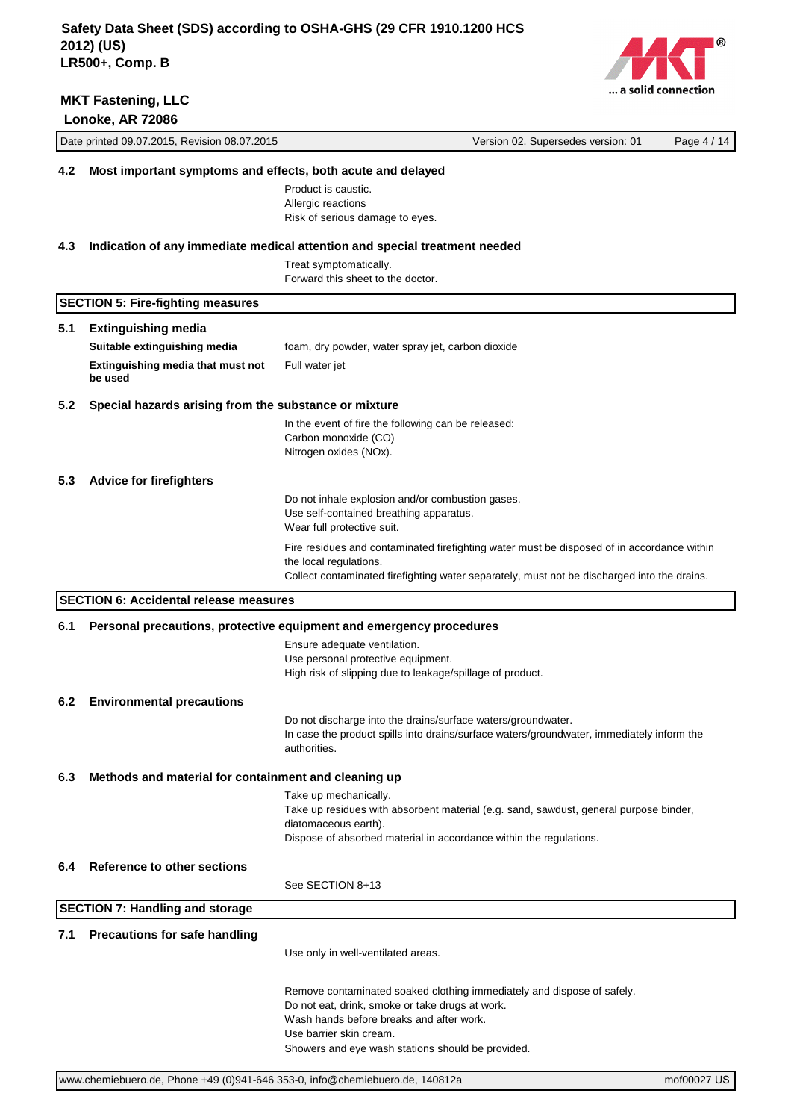

|     | Date printed 09.07.2015, Revision 08.07.2015                |                                                                                                                                                                                                                                                       | Version 02. Supersedes version: 01 | Page 4 / 14 |
|-----|-------------------------------------------------------------|-------------------------------------------------------------------------------------------------------------------------------------------------------------------------------------------------------------------------------------------------------|------------------------------------|-------------|
| 4.2 | Most important symptoms and effects, both acute and delayed |                                                                                                                                                                                                                                                       |                                    |             |
|     |                                                             | Product is caustic.<br>Allergic reactions<br>Risk of serious damage to eyes.                                                                                                                                                                          |                                    |             |
| 4.3 |                                                             | Indication of any immediate medical attention and special treatment needed                                                                                                                                                                            |                                    |             |
|     |                                                             | Treat symptomatically.<br>Forward this sheet to the doctor.                                                                                                                                                                                           |                                    |             |
|     | <b>SECTION 5: Fire-fighting measures</b>                    |                                                                                                                                                                                                                                                       |                                    |             |
| 5.1 | <b>Extinguishing media</b>                                  |                                                                                                                                                                                                                                                       |                                    |             |
|     | Suitable extinguishing media                                | foam, dry powder, water spray jet, carbon dioxide                                                                                                                                                                                                     |                                    |             |
|     | Extinguishing media that must not<br>be used                | Full water jet                                                                                                                                                                                                                                        |                                    |             |
| 5.2 | Special hazards arising from the substance or mixture       |                                                                                                                                                                                                                                                       |                                    |             |
|     |                                                             | In the event of fire the following can be released:<br>Carbon monoxide (CO)<br>Nitrogen oxides (NOx).                                                                                                                                                 |                                    |             |
| 5.3 | <b>Advice for firefighters</b>                              |                                                                                                                                                                                                                                                       |                                    |             |
|     |                                                             | Do not inhale explosion and/or combustion gases.<br>Use self-contained breathing apparatus.<br>Wear full protective suit.                                                                                                                             |                                    |             |
|     |                                                             | Fire residues and contaminated firefighting water must be disposed of in accordance within<br>the local regulations.<br>Collect contaminated firefighting water separately, must not be discharged into the drains.                                   |                                    |             |
|     | <b>SECTION 6: Accidental release measures</b>               |                                                                                                                                                                                                                                                       |                                    |             |
| 6.1 |                                                             | Personal precautions, protective equipment and emergency procedures                                                                                                                                                                                   |                                    |             |
|     |                                                             | Ensure adequate ventilation.<br>Use personal protective equipment.<br>High risk of slipping due to leakage/spillage of product.                                                                                                                       |                                    |             |
| 6.2 | <b>Environmental precautions</b>                            |                                                                                                                                                                                                                                                       |                                    |             |
|     |                                                             | Do not discharge into the drains/surface waters/groundwater.<br>In case the product spills into drains/surface waters/groundwater, immediately inform the<br>authorities.                                                                             |                                    |             |
| 6.3 | Methods and material for containment and cleaning up        |                                                                                                                                                                                                                                                       |                                    |             |
|     |                                                             | Take up mechanically.<br>Take up residues with absorbent material (e.g. sand, sawdust, general purpose binder,<br>diatomaceous earth).<br>Dispose of absorbed material in accordance within the regulations.                                          |                                    |             |
| 6.4 | <b>Reference to other sections</b>                          |                                                                                                                                                                                                                                                       |                                    |             |
|     |                                                             | See SECTION 8+13                                                                                                                                                                                                                                      |                                    |             |
|     | <b>SECTION 7: Handling and storage</b>                      |                                                                                                                                                                                                                                                       |                                    |             |
| 7.1 | <b>Precautions for safe handling</b>                        |                                                                                                                                                                                                                                                       |                                    |             |
|     |                                                             | Use only in well-ventilated areas.                                                                                                                                                                                                                    |                                    |             |
|     |                                                             | Remove contaminated soaked clothing immediately and dispose of safely.<br>Do not eat, drink, smoke or take drugs at work.<br>Wash hands before breaks and after work.<br>Use barrier skin cream.<br>Showers and eye wash stations should be provided. |                                    |             |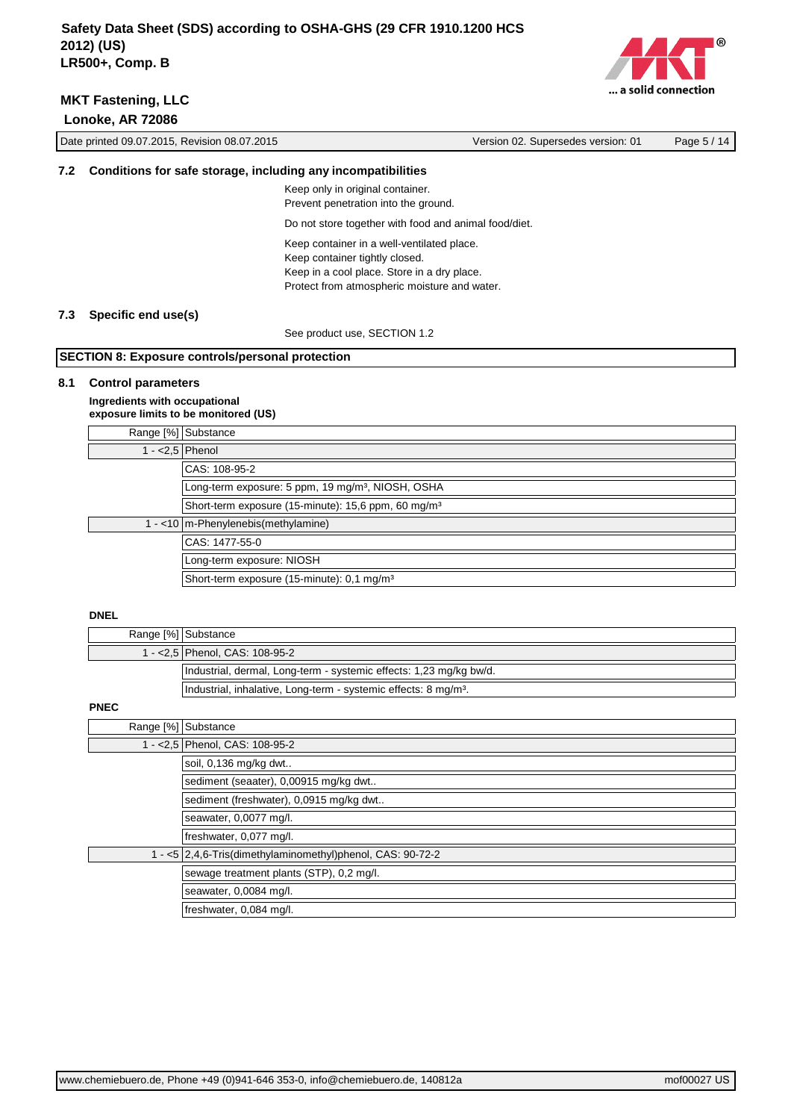

|     | Date printed 09.07.2015, Revision 08.07.2015                 |                                                                                                                                                                             | Version 02. Supersedes version: 01 | Page 5 / 14 |
|-----|--------------------------------------------------------------|-----------------------------------------------------------------------------------------------------------------------------------------------------------------------------|------------------------------------|-------------|
| 7.2 | Conditions for safe storage, including any incompatibilities |                                                                                                                                                                             |                                    |             |
|     |                                                              | Keep only in original container.<br>Prevent penetration into the ground.                                                                                                    |                                    |             |
|     |                                                              | Do not store together with food and animal food/diet.                                                                                                                       |                                    |             |
|     |                                                              | Keep container in a well-ventilated place.<br>Keep container tightly closed.<br>Keep in a cool place. Store in a dry place.<br>Protect from atmospheric moisture and water. |                                    |             |
| 7.3 | Specific end use(s)                                          |                                                                                                                                                                             |                                    |             |
|     |                                                              | See product use, SECTION 1.2                                                                                                                                                |                                    |             |
|     | <b>SECTION 8: Exposure controls/personal protection</b>      |                                                                                                                                                                             |                                    |             |
| 8.1 | <b>Control parameters</b><br>Ingradiante with occunstional   |                                                                                                                                                                             |                                    |             |

#### **Ingredients with occupational exposure limits to be monitored (US)**

|                    | Range [%] Substance                                             |
|--------------------|-----------------------------------------------------------------|
| 1 - $<$ 2,5 Phenol |                                                                 |
|                    | CAS: 108-95-2                                                   |
|                    | Long-term exposure: 5 ppm, 19 mg/m <sup>3</sup> , NIOSH, OSHA   |
|                    | Short-term exposure (15-minute): 15,6 ppm, 60 mg/m <sup>3</sup> |
|                    | $1 - 10$ m-Phenylenebis (methylamine)                           |
|                    | CAS: 1477-55-0                                                  |
|                    | Long-term exposure: NIOSH                                       |
|                    | Short-term exposure (15-minute): 0,1 mg/m <sup>3</sup>          |

## **DNEL**

| Range [%] Substance                                                         |
|-----------------------------------------------------------------------------|
| 1 - < 2,5   Phenol, CAS: 108-95-2                                           |
| Industrial, dermal, Long-term - systemic effects: 1,23 mg/kg bw/d.          |
| Industrial, inhalative, Long-term - systemic effects: 8 mg/m <sup>3</sup> . |

# **PNEC**

| Range [%] Substance |                                                            |
|---------------------|------------------------------------------------------------|
|                     | 1 - < 2,5 Phenol, CAS: 108-95-2                            |
|                     | soil, 0,136 mg/kg dwt                                      |
|                     | sediment (seaater), 0,00915 mg/kg dwt                      |
|                     | sediment (freshwater), 0,0915 mg/kg dwt                    |
|                     | seawater, 0,0077 mg/l.                                     |
|                     | freshwater, 0,077 mg/l.                                    |
|                     | 1 - <5 2,4,6-Tris(dimethylaminomethyl)phenol, CAS: 90-72-2 |
|                     | sewage treatment plants (STP), 0,2 mg/l.                   |
|                     | seawater, 0,0084 mg/l.                                     |
|                     | freshwater, 0,084 mg/l.                                    |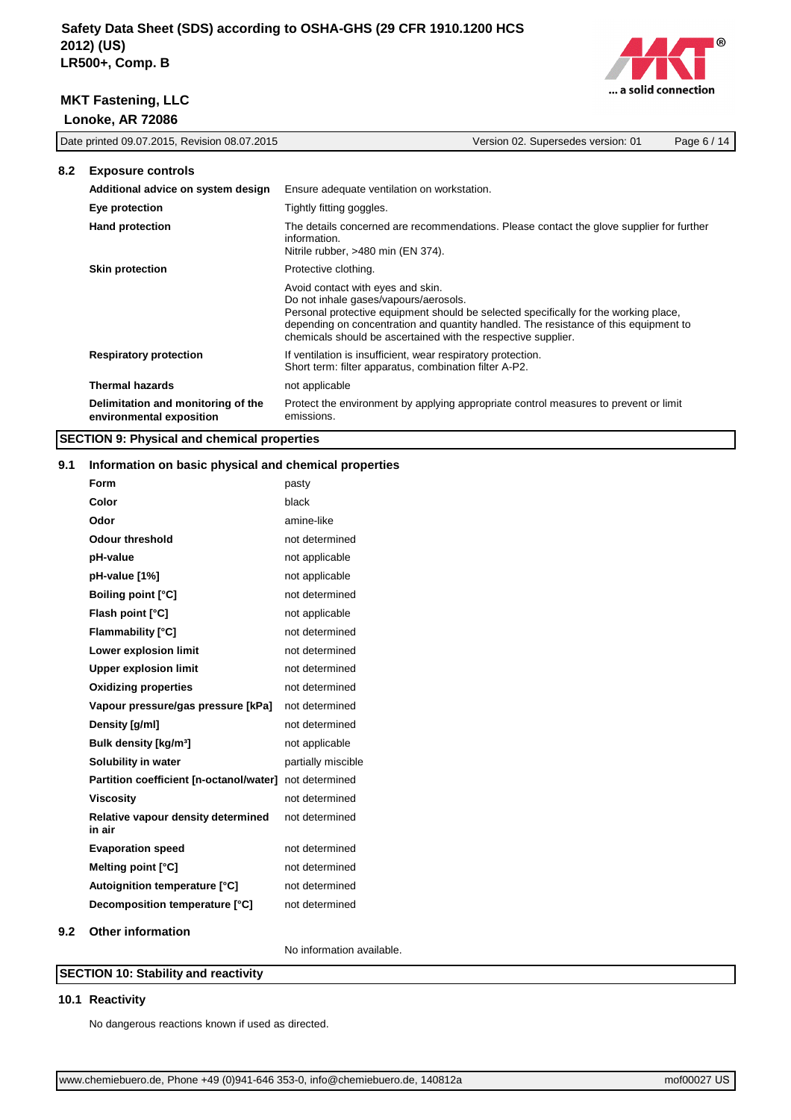

|     | Date printed 09.07.2015, Revision 08.07.2015                   |                                                                                                                                             | Version 02. Supersedes version: 01                                                                                                                                           | Page 6 / 14 |
|-----|----------------------------------------------------------------|---------------------------------------------------------------------------------------------------------------------------------------------|------------------------------------------------------------------------------------------------------------------------------------------------------------------------------|-------------|
| 8.2 | <b>Exposure controls</b>                                       |                                                                                                                                             |                                                                                                                                                                              |             |
|     | Additional advice on system design                             | Ensure adequate ventilation on workstation.                                                                                                 |                                                                                                                                                                              |             |
|     | Eye protection                                                 | Tightly fitting goggles.                                                                                                                    |                                                                                                                                                                              |             |
|     | <b>Hand protection</b>                                         | information.<br>Nitrile rubber, >480 min (EN 374).                                                                                          | The details concerned are recommendations. Please contact the glove supplier for further                                                                                     |             |
|     | <b>Skin protection</b>                                         | Protective clothing.                                                                                                                        |                                                                                                                                                                              |             |
|     |                                                                | Avoid contact with eyes and skin.<br>Do not inhale gases/vapours/aerosols.<br>chemicals should be ascertained with the respective supplier. | Personal protective equipment should be selected specifically for the working place,<br>depending on concentration and quantity handled. The resistance of this equipment to |             |
|     | <b>Respiratory protection</b>                                  | If ventilation is insufficient, wear respiratory protection.<br>Short term: filter apparatus, combination filter A-P2.                      |                                                                                                                                                                              |             |
|     | <b>Thermal hazards</b>                                         | not applicable                                                                                                                              |                                                                                                                                                                              |             |
|     | Delimitation and monitoring of the<br>environmental exposition | emissions.                                                                                                                                  | Protect the environment by applying appropriate control measures to prevent or limit                                                                                         |             |

# **SECTION 9: Physical and chemical properties**

# **9.1 Information on basic physical and chemical properties**

| <u>milumation on basic privsical and chemical properties</u> |                           |
|--------------------------------------------------------------|---------------------------|
| Form                                                         | pasty                     |
| Color                                                        | black                     |
| Odor                                                         | amine-like                |
| <b>Odour threshold</b>                                       | not determined            |
| pH-value                                                     | not applicable            |
| pH-value [1%]                                                | not applicable            |
| <b>Boiling point [°C]</b>                                    | not determined            |
| Flash point [°C]                                             | not applicable            |
| <b>Flammability [°C]</b>                                     | not determined            |
| Lower explosion limit                                        | not determined            |
| <b>Upper explosion limit</b>                                 | not determined            |
| <b>Oxidizing properties</b>                                  | not determined            |
| Vapour pressure/gas pressure [kPa]                           | not determined            |
| Density [g/ml]                                               | not determined            |
| <b>Bulk density [kg/m<sup>3</sup>]</b>                       | not applicable            |
| Solubility in water                                          | partially miscible        |
| Partition coefficient [n-octanol/water] not determined       |                           |
| <b>Viscosity</b>                                             | not determined            |
| Relative vapour density determined<br>in air                 | not determined            |
| <b>Evaporation speed</b>                                     | not determined            |
| Melting point [°C]                                           | not determined            |
| Autoignition temperature [°C]                                | not determined            |
| Decomposition temperature [°C]                               | not determined            |
| <b>Other information</b>                                     |                           |
|                                                              | No information available. |

## **SECTION 10: Stability and reactivity**

## **10.1 Reactivity**

**9.2** 

No dangerous reactions known if used as directed.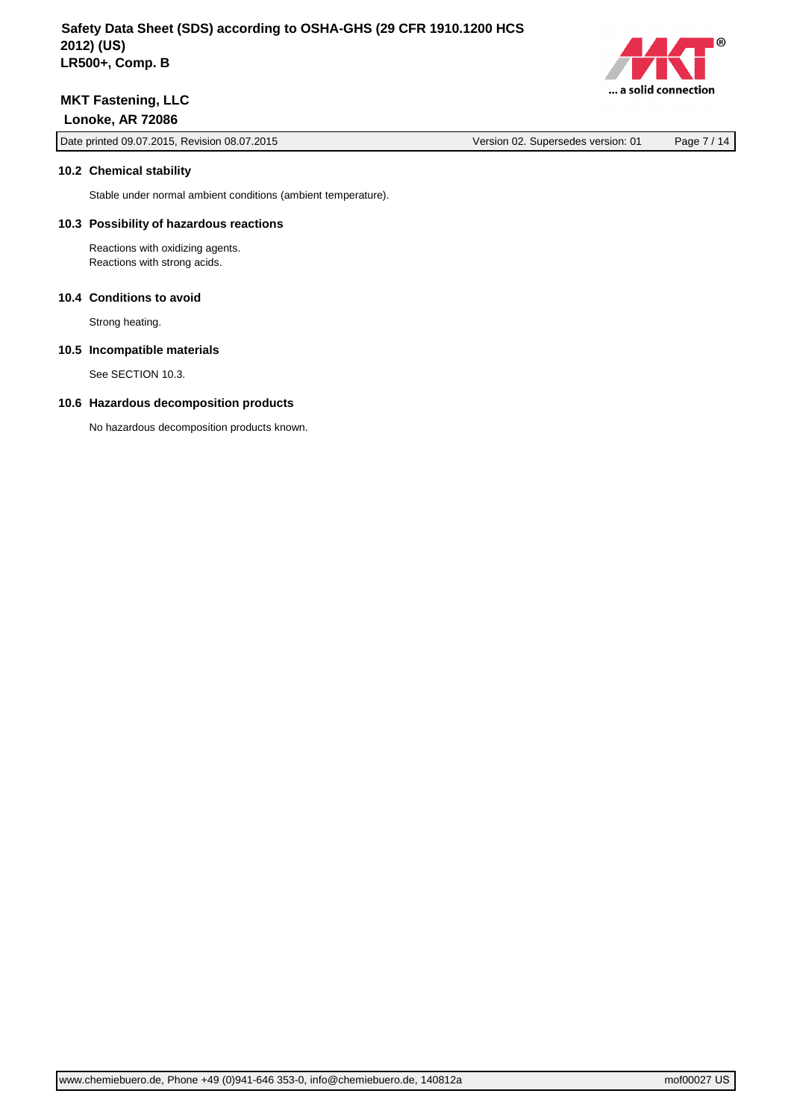

Date printed 09.07.2015, Revision 08.07.2015 Version 02. Supersedes version: 01 Page 7 / 14

#### **10.2 Chemical stability**

Stable under normal ambient conditions (ambient temperature).

## **10.3 Possibility of hazardous reactions**

Reactions with oxidizing agents. Reactions with strong acids.

## **10.4 Conditions to avoid**

Strong heating.

#### **10.5 Incompatible materials**

See SECTION 10.3.

## **10.6 Hazardous decomposition products**

No hazardous decomposition products known.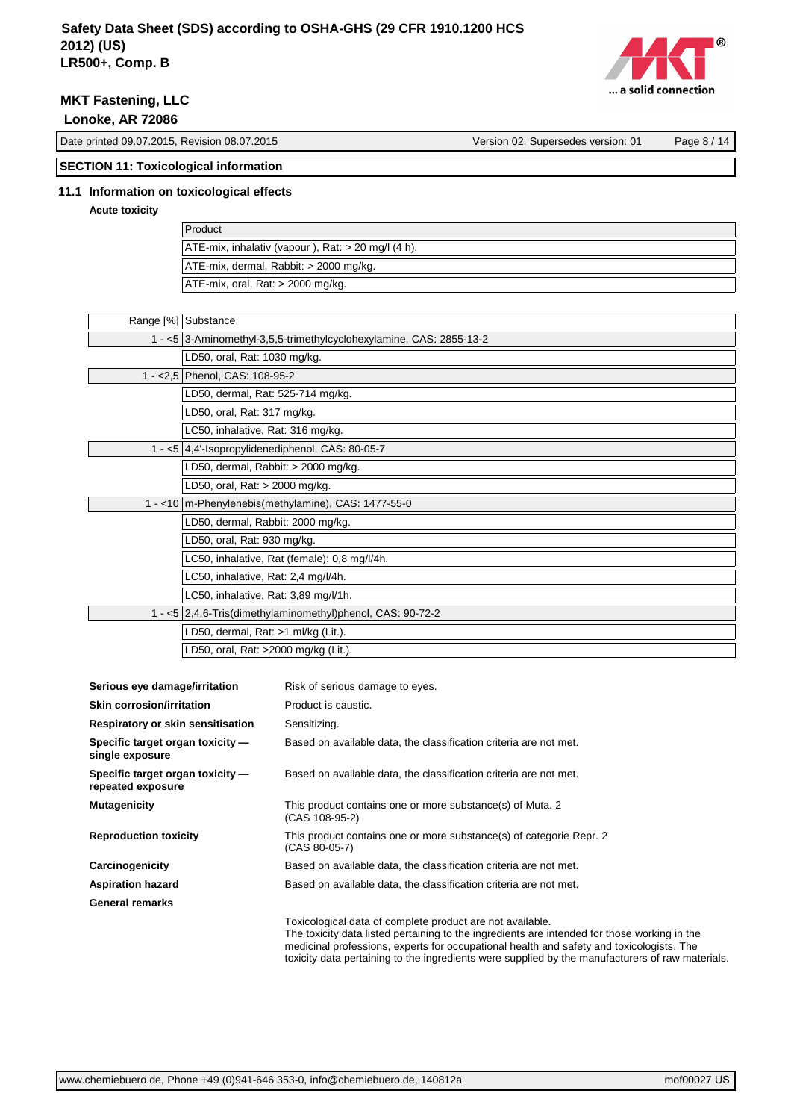

# **MKT Fastening, LLC**

 **Lonoke, AR 72086**

Date printed 09.07.2015, Revision 08.07.2015 Version 02. Supersedes version: 01 Page 8 / 14

# **SECTION 11: Toxicological information**

# **11.1 Information on toxicological effects**

**Acute toxicity**

| Product                                                  |
|----------------------------------------------------------|
| $ ATE-mix$ , inhalativ (vapour), Rat: $> 20$ mg/l (4 h). |
| ATE-mix, dermal, Rabbit: > 2000 mg/kg.                   |
| $ATE-mix$ , oral, Rat: $>$ 2000 mg/kg.                   |

| Range [%] Substance                                                 |  |
|---------------------------------------------------------------------|--|
| 1 - <5 3-Aminomethyl-3,5,5-trimethylcyclohexylamine, CAS: 2855-13-2 |  |
| LD50, oral, Rat: 1030 mg/kg.                                        |  |
| 1 - < 2,5 Phenol, CAS: 108-95-2                                     |  |
| LD50, dermal, Rat: 525-714 mg/kg.                                   |  |
| LD50, oral, Rat: 317 mg/kg.                                         |  |
| LC50, inhalative, Rat: 316 mg/kg.                                   |  |
| 1 - <5 4,4'-Isopropylidenediphenol, CAS: 80-05-7                    |  |
| LD50, dermal, Rabbit: $>$ 2000 mg/kg.                               |  |
| LD50, oral, Rat: > 2000 mg/kg.                                      |  |
| 1 - < 10   m-Phenylenebis(methylamine), CAS: 1477-55-0              |  |
| LD50, dermal, Rabbit: 2000 mg/kg.                                   |  |
| LD50, oral, Rat: 930 mg/kg.                                         |  |
| LC50, inhalative, Rat (female): 0,8 mg/l/4h.                        |  |
| LC50, inhalative, Rat: 2,4 mg/l/4h.                                 |  |
| LC50, inhalative, Rat: 3,89 mg/l/1h.                                |  |
| 1 - <5 2,4,6-Tris(dimethylaminomethyl)phenol, CAS: 90-72-2          |  |
| LD50, dermal, Rat: >1 ml/kg (Lit.).                                 |  |
| LD50, oral, Rat: >2000 mg/kg (Lit.).                                |  |

| Serious eye damage/irritation                         | Risk of serious damage to eyes.                                                                                                                                                                                                                                                                                                                           |
|-------------------------------------------------------|-----------------------------------------------------------------------------------------------------------------------------------------------------------------------------------------------------------------------------------------------------------------------------------------------------------------------------------------------------------|
| <b>Skin corrosion/irritation</b>                      | Product is caustic.                                                                                                                                                                                                                                                                                                                                       |
| Respiratory or skin sensitisation                     | Sensitizing.                                                                                                                                                                                                                                                                                                                                              |
| Specific target organ toxicity -<br>single exposure   | Based on available data, the classification criteria are not met.                                                                                                                                                                                                                                                                                         |
| Specific target organ toxicity —<br>repeated exposure | Based on available data, the classification criteria are not met.                                                                                                                                                                                                                                                                                         |
| <b>Mutagenicity</b>                                   | This product contains one or more substance(s) of Muta. 2<br>(CAS 108-95-2)                                                                                                                                                                                                                                                                               |
| <b>Reproduction toxicity</b>                          | This product contains one or more substance(s) of categorie Repr. 2<br>(CAS 80-05-7)                                                                                                                                                                                                                                                                      |
| Carcinogenicity                                       | Based on available data, the classification criteria are not met.                                                                                                                                                                                                                                                                                         |
| <b>Aspiration hazard</b>                              | Based on available data, the classification criteria are not met.                                                                                                                                                                                                                                                                                         |
| <b>General remarks</b>                                |                                                                                                                                                                                                                                                                                                                                                           |
|                                                       | Toxicological data of complete product are not available.<br>The toxicity data listed pertaining to the ingredients are intended for those working in the<br>medicinal professions, experts for occupational health and safety and toxicologists. The<br>toxicity data pertaining to the ingredients were supplied by the manufacturers of raw materials. |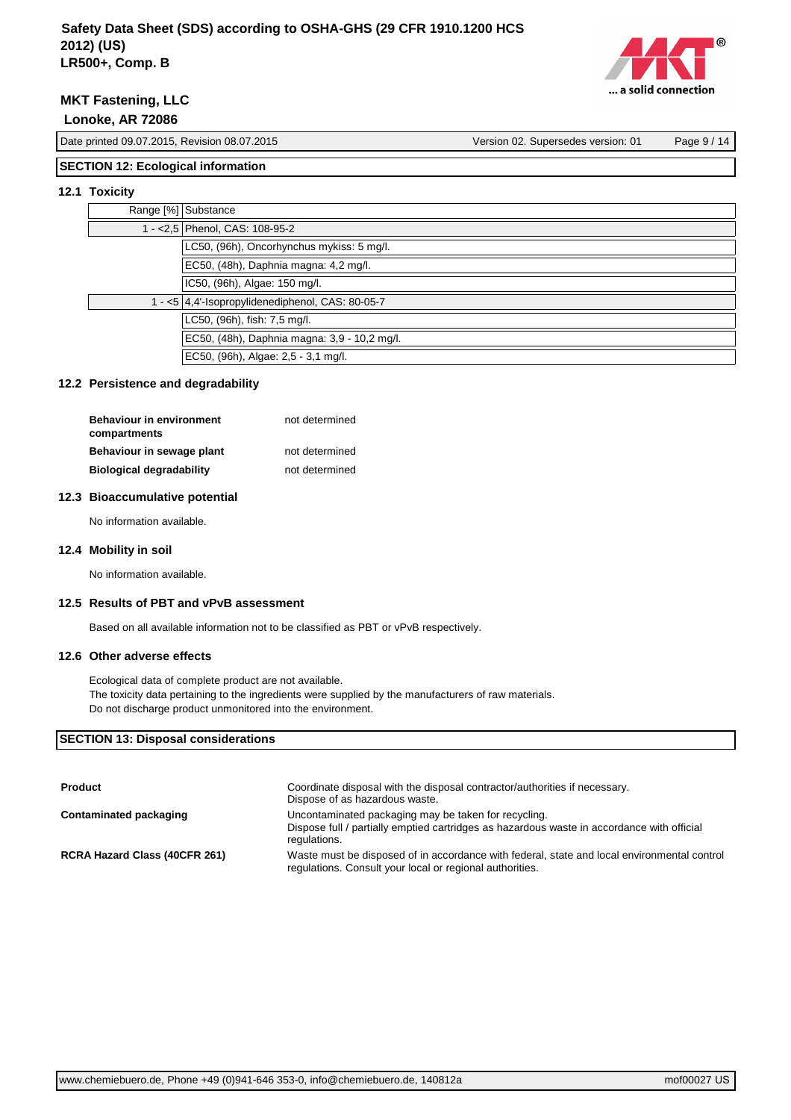

Date printed 09.07.2015, Revision 08.07.2015 Version 02. Supersedes version: 01 Page 9 / 14

# **SECTION 12: Ecological information**

## **12.1 Toxicity**

| Range [%] Substance                              |
|--------------------------------------------------|
| 1 - < 2,5 Phenol, CAS: 108-95-2                  |
| LC50, (96h), Oncorhynchus mykiss: 5 mg/l.        |
| EC50, (48h), Daphnia magna: 4,2 mg/l.            |
| IC50, (96h), Algae: 150 mg/l.                    |
| 1 - <5 4,4'-Isopropylidenediphenol, CAS: 80-05-7 |
| LC50, (96h), fish: 7,5 mg/l.                     |
| EC50, (48h), Daphnia magna: 3,9 - 10,2 mg/l.     |
| EC50, (96h), Algae: 2,5 - 3,1 mg/l.              |

## **12.2 Persistence and degradability**

| <b>Behaviour in environment</b><br>compartments | not determined |
|-------------------------------------------------|----------------|
| Behaviour in sewage plant                       | not determined |
| <b>Biological degradability</b>                 | not determined |

## **12.3 Bioaccumulative potential**

No information available.

## **12.4 Mobility in soil**

No information available.

## **12.5 Results of PBT and vPvB assessment**

Based on all available information not to be classified as PBT or vPvB respectively.

## **12.6 Other adverse effects**

Ecological data of complete product are not available. The toxicity data pertaining to the ingredients were supplied by the manufacturers of raw materials. Do not discharge product unmonitored into the environment.

# **SECTION 13: Disposal considerations**

| Product                       | Coordinate disposal with the disposal contractor/authorities if necessary.<br>Dispose of as hazardous waste.                                                       |
|-------------------------------|--------------------------------------------------------------------------------------------------------------------------------------------------------------------|
| Contaminated packaging        | Uncontaminated packaging may be taken for recycling.<br>Dispose full / partially emptied cartridges as hazardous waste in accordance with official<br>regulations. |
| RCRA Hazard Class (40CFR 261) | Waste must be disposed of in accordance with federal, state and local environmental control<br>regulations. Consult your local or regional authorities.            |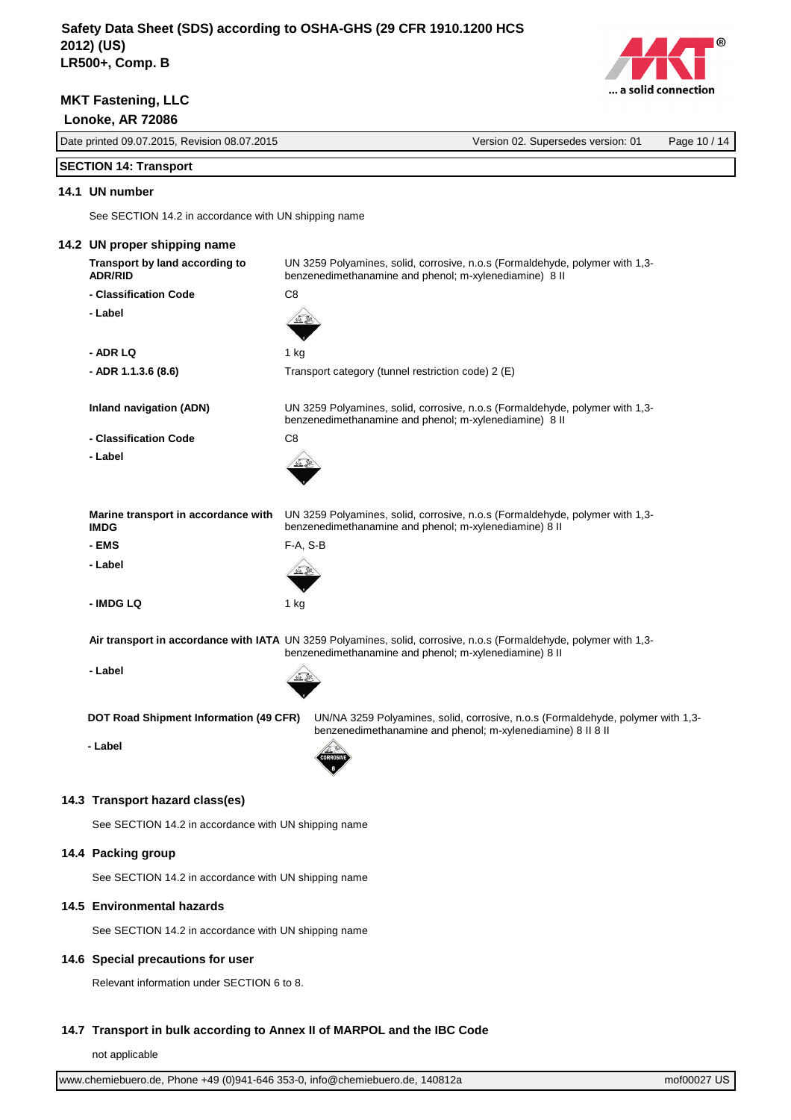

Date printed 09.07.2015, Revision 08.07.2015 Version 02. Supersedes version: 01 Page 10 / 14

# **SECTION 14: Transport**

## **14.1 UN number**

See SECTION 14.2 in accordance with UN shipping name

|  | 14.2 UN proper shipping name                                                                                                                                                 |                                                                                                                                                |  |
|--|------------------------------------------------------------------------------------------------------------------------------------------------------------------------------|------------------------------------------------------------------------------------------------------------------------------------------------|--|
|  | Transport by land according to<br><b>ADR/RID</b>                                                                                                                             | UN 3259 Polyamines, solid, corrosive, n.o.s (Formaldehyde, polymer with 1,3-<br>benzenedimethanamine and phenol; m-xylenediamine) 8 II         |  |
|  | - Classification Code                                                                                                                                                        | C8                                                                                                                                             |  |
|  | - Label                                                                                                                                                                      |                                                                                                                                                |  |
|  | - ADR LQ                                                                                                                                                                     | 1 kg                                                                                                                                           |  |
|  | - ADR 1.1.3.6 (8.6)                                                                                                                                                          | Transport category (tunnel restriction code) 2 (E)                                                                                             |  |
|  | <b>Inland navigation (ADN)</b>                                                                                                                                               | UN 3259 Polyamines, solid, corrosive, n.o.s (Formaldehyde, polymer with 1,3-<br>benzenedimethanamine and phenol; m-xylenediamine) 8 II         |  |
|  | - Classification Code                                                                                                                                                        | C8                                                                                                                                             |  |
|  | - Label                                                                                                                                                                      |                                                                                                                                                |  |
|  | Marine transport in accordance with<br><b>IMDG</b>                                                                                                                           | UN 3259 Polyamines, solid, corrosive, n.o.s (Formaldehyde, polymer with 1,3-<br>benzenedimethanamine and phenol; m-xylenediamine) 8 II         |  |
|  | - EMS                                                                                                                                                                        | F-A, S-B                                                                                                                                       |  |
|  | - Label                                                                                                                                                                      |                                                                                                                                                |  |
|  | - IMDG LQ                                                                                                                                                                    | 1 kg                                                                                                                                           |  |
|  | Air transport in accordance with IATA UN 3259 Polyamines, solid, corrosive, n.o.s (Formaldehyde, polymer with 1,3-<br>benzenedimethanamine and phenol; m-xylenediamine) 8 II |                                                                                                                                                |  |
|  | - Label                                                                                                                                                                      |                                                                                                                                                |  |
|  | DOT Road Shipment Information (49 CFR)                                                                                                                                       | UN/NA 3259 Polyamines, solid, corrosive, n.o.s (Formaldehyde, polymer with 1,3-<br>benzenedimethanamine and phenol; m-xylenediamine) 8 II 8 II |  |
|  | - Label                                                                                                                                                                      |                                                                                                                                                |  |
|  | 14.3 Transport hazard class(es)<br>See SECTION 14.2 in accordance with UN shipping name                                                                                      |                                                                                                                                                |  |
|  |                                                                                                                                                                              |                                                                                                                                                |  |
|  | 14.4 Packing group                                                                                                                                                           |                                                                                                                                                |  |
|  | See SECTION 14.2 in accordance with UN shipping name                                                                                                                         |                                                                                                                                                |  |
|  | 14.5 Environmental hazards                                                                                                                                                   |                                                                                                                                                |  |
|  | See SECTION 14.2 in accordance with UN shipping name                                                                                                                         |                                                                                                                                                |  |
|  | 14.6 Special precautions for user                                                                                                                                            |                                                                                                                                                |  |
|  | Relevant information under SECTION 6 to 8.                                                                                                                                   |                                                                                                                                                |  |

## **14.7 Transport in bulk according to Annex II of MARPOL and the IBC Code**

not applicable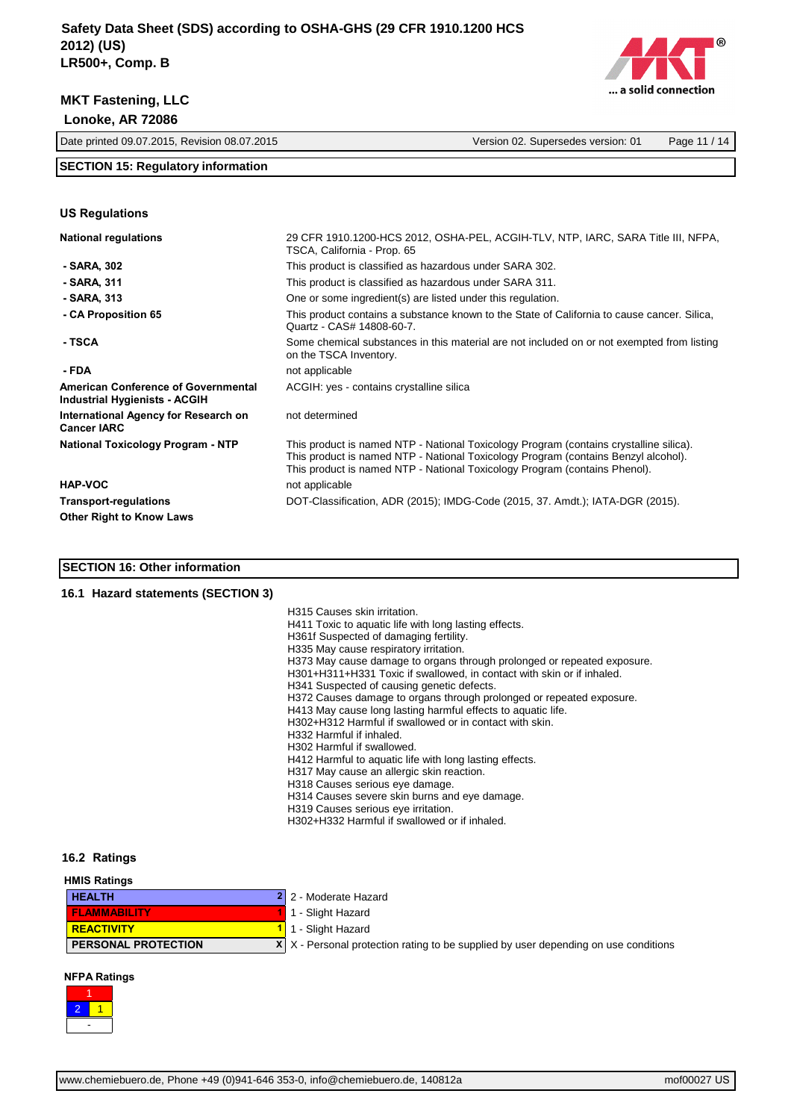

**US Regulations**



Date printed 09.07.2015, Revision 08.07.2015 Version 02. Supersedes version: 01 Page 11 / 14

## **SECTION 15: Regulatory information**

| <b>National regulations</b>                                                 | 29 CFR 1910.1200-HCS 2012, OSHA-PEL, ACGIH-TLV, NTP, IARC, SARA Title III, NFPA,<br>TSCA, California - Prop. 65                                                                                                                                            |
|-----------------------------------------------------------------------------|------------------------------------------------------------------------------------------------------------------------------------------------------------------------------------------------------------------------------------------------------------|
| - SARA, 302                                                                 | This product is classified as hazardous under SARA 302.                                                                                                                                                                                                    |
| - SARA, 311                                                                 | This product is classified as hazardous under SARA 311.                                                                                                                                                                                                    |
| - SARA, 313                                                                 | One or some ingredient(s) are listed under this regulation.                                                                                                                                                                                                |
| - CA Proposition 65                                                         | This product contains a substance known to the State of California to cause cancer. Silica,<br>Quartz - CAS# 14808-60-7.                                                                                                                                   |
| - TSCA                                                                      | Some chemical substances in this material are not included on or not exempted from listing<br>on the TSCA Inventory.                                                                                                                                       |
| - FDA                                                                       | not applicable                                                                                                                                                                                                                                             |
| <b>American Conference of Governmental</b><br>Industrial Hygienists - ACGIH | ACGIH: yes - contains crystalline silica                                                                                                                                                                                                                   |
| International Agency for Research on<br><b>Cancer IARC</b>                  | not determined                                                                                                                                                                                                                                             |
| <b>National Toxicology Program - NTP</b>                                    | This product is named NTP - National Toxicology Program (contains crystalline silica).<br>This product is named NTP - National Toxicology Program (contains Benzyl alcohol).<br>This product is named NTP - National Toxicology Program (contains Phenol). |
| <b>HAP-VOC</b>                                                              | not applicable                                                                                                                                                                                                                                             |
| <b>Transport-regulations</b>                                                | DOT-Classification, ADR (2015); IMDG-Code (2015, 37. Amdt.); IATA-DGR (2015).                                                                                                                                                                              |
| <b>Other Right to Know Laws</b>                                             |                                                                                                                                                                                                                                                            |

#### **SECTION 16: Other information**

#### **16.1 Hazard statements (SECTION 3)**

| H315 Causes skin irritation. |  |  |
|------------------------------|--|--|
|------------------------------|--|--|

- H411 Toxic to aquatic life with long lasting effects.
- H361f Suspected of damaging fertility.
- H335 May cause respiratory irritation.
- H373 May cause damage to organs through prolonged or repeated exposure.
- H301+H311+H331 Toxic if swallowed, in contact with skin or if inhaled.
- H341 Suspected of causing genetic defects.
- H372 Causes damage to organs through prolonged or repeated exposure.
- H413 May cause long lasting harmful effects to aquatic life.
- H302+H312 Harmful if swallowed or in contact with skin.
- H332 Harmful if inhaled.
- H302 Harmful if swallowed.
- H412 Harmful to aquatic life with long lasting effects.
- H317 May cause an allergic skin reaction.
- H318 Causes serious eye damage.
- H314 Causes severe skin burns and eye damage.
- H319 Causes serious eye irritation.
- H302+H332 Harmful if swallowed or if inhaled.

#### **16.2 Ratings**

| <b>HMIS Ratings</b>        |                                                                                            |
|----------------------------|--------------------------------------------------------------------------------------------|
| <b>HEALTH</b>              | 2 2 - Moderate Hazard                                                                      |
| <b>FLAMMABILITY</b>        | 1 - Slight Hazard                                                                          |
| <b>REACTIVITY</b>          | 1 1 - Slight Hazard                                                                        |
| <b>PERSONAL PROTECTION</b> | $X \mid X$ - Personal protection rating to be supplied by user depending on use conditions |

#### **NFPA Ratings**

| $\overline{2}$ |  |
|----------------|--|
|                |  |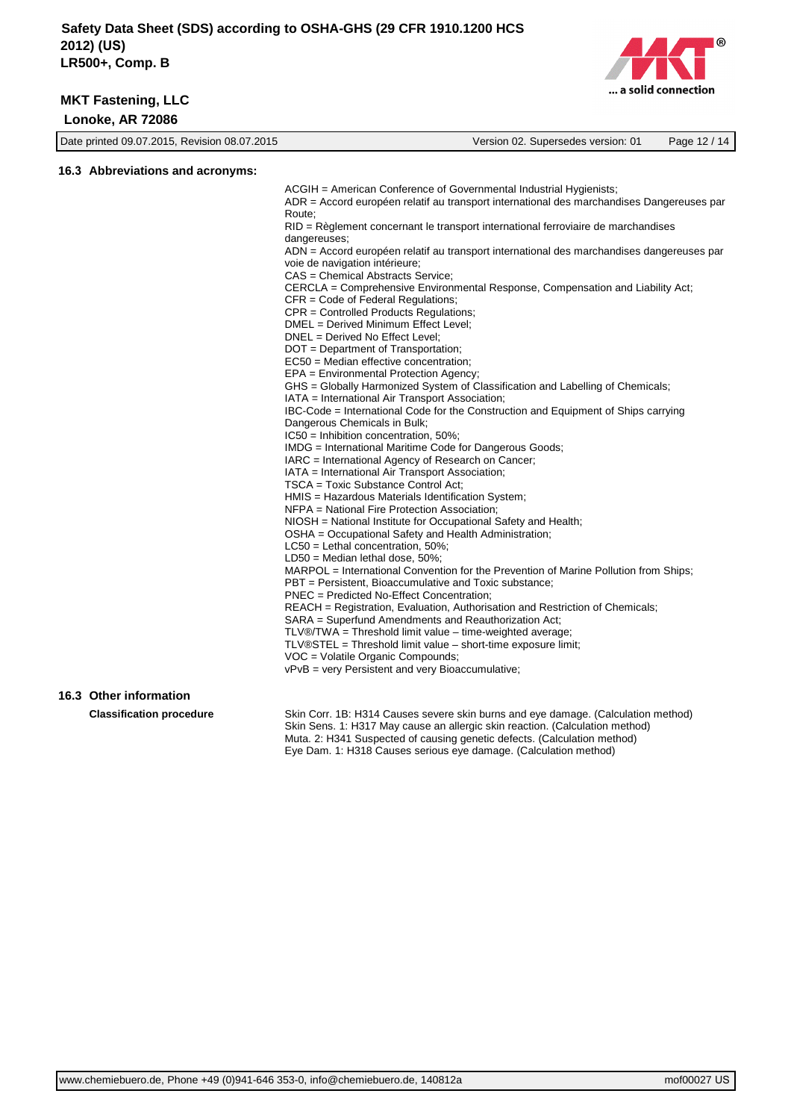

| Date printed 09.07.2015, Revision 08.07.2015 | Version 02. Supersedes version: 01 | Page 12 / 14 |
|----------------------------------------------|------------------------------------|--------------|
|                                              |                                    |              |

# **16.3 Abbreviations and acronyms:**

ACGIH = American Conference of Governmental Industrial Hygienists; ADR = Accord européen relatif au transport international des marchandises Dangereuses par Route; RID = Règlement concernant le transport international ferroviaire de marchandises dangereuses; ADN = Accord européen relatif au transport international des marchandises dangereuses par voie de navigation intérieure; CAS = Chemical Abstracts Service; CERCLA = Comprehensive Environmental Response, Compensation and Liability Act; CFR = Code of Federal Regulations; CPR = Controlled Products Regulations; DMEL = Derived Minimum Effect Level; DNEL = Derived No Effect Level; DOT = Department of Transportation; EC50 = Median effective concentration; EPA = Environmental Protection Agency; GHS = Globally Harmonized System of Classification and Labelling of Chemicals; IATA = International Air Transport Association; IBC-Code = International Code for the Construction and Equipment of Ships carrying Dangerous Chemicals in Bulk; IC50 = Inhibition concentration, 50%; IMDG = International Maritime Code for Dangerous Goods; IARC = International Agency of Research on Cancer; IATA = International Air Transport Association; TSCA = Toxic Substance Control Act; HMIS = Hazardous Materials Identification System; NFPA = National Fire Protection Association; NIOSH = National Institute for Occupational Safety and Health; OSHA = Occupational Safety and Health Administration; LC50 = Lethal concentration, 50%; LD50 = Median lethal dose, 50%; MARPOL = International Convention for the Prevention of Marine Pollution from Ships; PBT = Persistent, Bioaccumulative and Toxic substance; PNEC = Predicted No-Effect Concentration; REACH = Registration, Evaluation, Authorisation and Restriction of Chemicals; SARA = Superfund Amendments and Reauthorization Act; TLV®/TWA = Threshold limit value – time-weighted average; TLV®STEL = Threshold limit value – short-time exposure limit; VOC = Volatile Organic Compounds; vPvB = very Persistent and very Bioaccumulative;

## **16.3 Other information**

**Classification procedure** Skin Corr. 1B: H314 Causes severe skin burns and eye damage. (Calculation method) Skin Sens. 1: H317 May cause an allergic skin reaction. (Calculation method) Muta. 2: H341 Suspected of causing genetic defects. (Calculation method) Eye Dam. 1: H318 Causes serious eye damage. (Calculation method)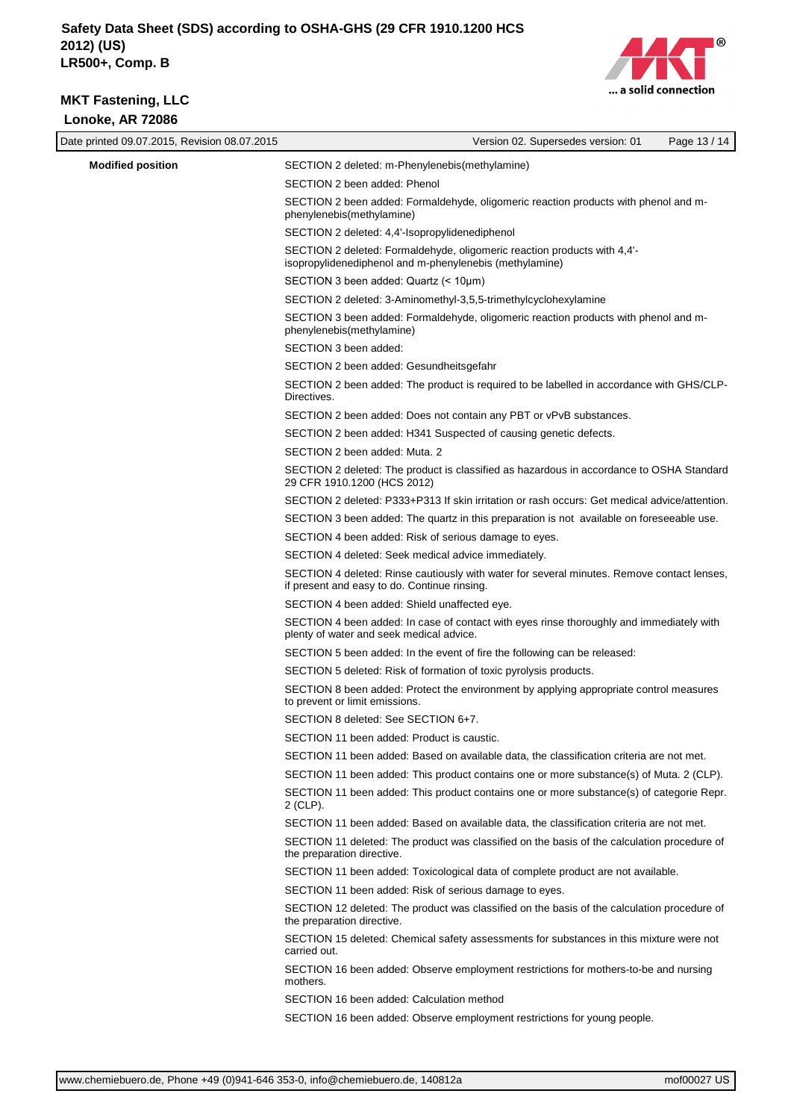$\overline{\phantom{a}}$ 



| Date printed 09.07.2015, Revision 08.07.2015 | Version 02. Supersedes version: 01                                                                                                         | Page 13 / 14 |
|----------------------------------------------|--------------------------------------------------------------------------------------------------------------------------------------------|--------------|
| <b>Modified position</b>                     | SECTION 2 deleted: m-Phenylenebis(methylamine)                                                                                             |              |
|                                              | SECTION 2 been added: Phenol                                                                                                               |              |
|                                              | SECTION 2 been added: Formaldehyde, oligomeric reaction products with phenol and m-<br>phenylenebis(methylamine)                           |              |
|                                              | SECTION 2 deleted: 4,4'-Isopropylidenediphenol                                                                                             |              |
|                                              | SECTION 2 deleted: Formaldehyde, oligomeric reaction products with 4,4'-<br>isopropylidenediphenol and m-phenylenebis (methylamine)        |              |
|                                              | SECTION 3 been added: Quartz (< 10um)                                                                                                      |              |
|                                              | SECTION 2 deleted: 3-Aminomethyl-3,5,5-trimethylcyclohexylamine                                                                            |              |
|                                              | SECTION 3 been added: Formaldehyde, oligomeric reaction products with phenol and m-<br>phenylenebis(methylamine)                           |              |
|                                              | SECTION 3 been added:                                                                                                                      |              |
|                                              | SECTION 2 been added: Gesundheitsgefahr                                                                                                    |              |
|                                              | SECTION 2 been added: The product is required to be labelled in accordance with GHS/CLP-<br>Directives.                                    |              |
|                                              | SECTION 2 been added: Does not contain any PBT or vPvB substances.                                                                         |              |
|                                              | SECTION 2 been added: H341 Suspected of causing genetic defects.                                                                           |              |
|                                              | SECTION 2 been added: Muta. 2                                                                                                              |              |
|                                              | SECTION 2 deleted: The product is classified as hazardous in accordance to OSHA Standard<br>29 CFR 1910.1200 (HCS 2012)                    |              |
|                                              | SECTION 2 deleted: P333+P313 If skin irritation or rash occurs: Get medical advice/attention.                                              |              |
|                                              | SECTION 3 been added: The quartz in this preparation is not available on foreseeable use.                                                  |              |
|                                              | SECTION 4 been added: Risk of serious damage to eyes.                                                                                      |              |
|                                              | SECTION 4 deleted: Seek medical advice immediately.                                                                                        |              |
|                                              | SECTION 4 deleted: Rinse cautiously with water for several minutes. Remove contact lenses,<br>if present and easy to do. Continue rinsing. |              |
|                                              | SECTION 4 been added: Shield unaffected eye.                                                                                               |              |
|                                              | SECTION 4 been added: In case of contact with eyes rinse thoroughly and immediately with<br>plenty of water and seek medical advice.       |              |
|                                              | SECTION 5 been added: In the event of fire the following can be released:                                                                  |              |
|                                              | SECTION 5 deleted: Risk of formation of toxic pyrolysis products.                                                                          |              |
|                                              | SECTION 8 been added: Protect the environment by applying appropriate control measures<br>to prevent or limit emissions.                   |              |
|                                              | SECTION 8 deleted: See SECTION 6+7.                                                                                                        |              |
|                                              | SECTION 11 been added: Product is caustic.                                                                                                 |              |
|                                              | SECTION 11 been added: Based on available data, the classification criteria are not met.                                                   |              |
|                                              | SECTION 11 been added: This product contains one or more substance(s) of Muta. 2 (CLP).                                                    |              |
|                                              | SECTION 11 been added: This product contains one or more substance(s) of categorie Repr.<br>2 (CLP).                                       |              |
|                                              | SECTION 11 been added: Based on available data, the classification criteria are not met.                                                   |              |
|                                              | SECTION 11 deleted: The product was classified on the basis of the calculation procedure of<br>the preparation directive.                  |              |
|                                              | SECTION 11 been added: Toxicological data of complete product are not available.                                                           |              |
|                                              | SECTION 11 been added: Risk of serious damage to eyes.                                                                                     |              |
|                                              | SECTION 12 deleted: The product was classified on the basis of the calculation procedure of<br>the preparation directive.                  |              |
|                                              | SECTION 15 deleted: Chemical safety assessments for substances in this mixture were not<br>carried out.                                    |              |
|                                              | SECTION 16 been added: Observe employment restrictions for mothers-to-be and nursing<br>mothers.                                           |              |
|                                              | SECTION 16 been added: Calculation method                                                                                                  |              |
|                                              | SECTION 16 been added: Observe employment restrictions for young people.                                                                   |              |